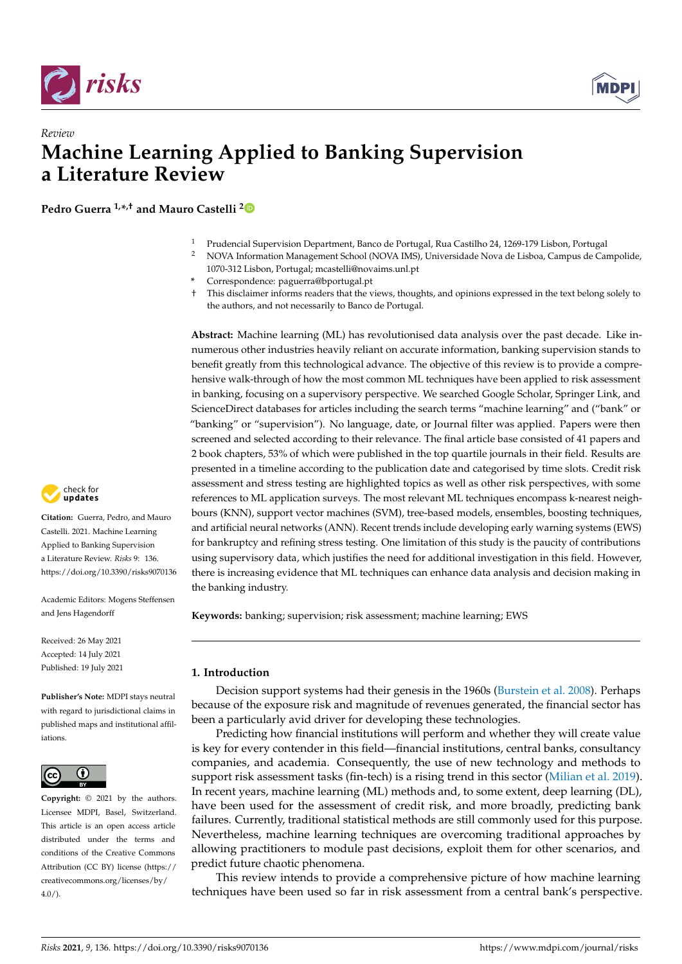



# *Review* **Machine Learning Applied to Banking Supervision a Literature Review**

**Pedro Guerra 1,\* ,† and Mauro Castelli [2](https://orcid.org/0000-0002-8793-1451)**

- <sup>1</sup> Prudencial Supervision Department, Banco de Portugal, Rua Castilho 24, 1269-179 Lisbon, Portugal
- <sup>2</sup> NOVA Information Management School (NOVA IMS), Universidade Nova de Lisboa, Campus de Campolide, 1070-312 Lisbon, Portugal; mcastelli@novaims.unl.pt
- **\*** Correspondence: paguerra@bportugal.pt
- † This disclaimer informs readers that the views, thoughts, and opinions expressed in the text belong solely to the authors, and not necessarily to Banco de Portugal.

**Abstract:** Machine learning (ML) has revolutionised data analysis over the past decade. Like innumerous other industries heavily reliant on accurate information, banking supervision stands to benefit greatly from this technological advance. The objective of this review is to provide a comprehensive walk-through of how the most common ML techniques have been applied to risk assessment in banking, focusing on a supervisory perspective. We searched Google Scholar, Springer Link, and ScienceDirect databases for articles including the search terms "machine learning" and ("bank" or "banking" or "supervision"). No language, date, or Journal filter was applied. Papers were then screened and selected according to their relevance. The final article base consisted of 41 papers and 2 book chapters, 53% of which were published in the top quartile journals in their field. Results are presented in a timeline according to the publication date and categorised by time slots. Credit risk assessment and stress testing are highlighted topics as well as other risk perspectives, with some references to ML application surveys. The most relevant ML techniques encompass k-nearest neighbours (KNN), support vector machines (SVM), tree-based models, ensembles, boosting techniques, and artificial neural networks (ANN). Recent trends include developing early warning systems (EWS) for bankruptcy and refining stress testing. One limitation of this study is the paucity of contributions using supervisory data, which justifies the need for additional investigation in this field. However, there is increasing evidence that ML techniques can enhance data analysis and decision making in the banking industry.

**Keywords:** banking; supervision; risk assessment; machine learning; EWS

## **1. Introduction**

Decision support systems had their genesis in the 1960s [\(Burstein et al.](#page-21-0) [2008\)](#page-21-0). Perhaps because of the exposure risk and magnitude of revenues generated, the financial sector has been a particularly avid driver for developing these technologies.

Predicting how financial institutions will perform and whether they will create value is key for every contender in this field—financial institutions, central banks, consultancy companies, and academia. Consequently, the use of new technology and methods to support risk assessment tasks (fin-tech) is a rising trend in this sector [\(Milian et al.](#page-22-0) [2019\)](#page-22-0). In recent years, machine learning (ML) methods and, to some extent, deep learning (DL), have been used for the assessment of credit risk, and more broadly, predicting bank failures. Currently, traditional statistical methods are still commonly used for this purpose. Nevertheless, machine learning techniques are overcoming traditional approaches by allowing practitioners to module past decisions, exploit them for other scenarios, and predict future chaotic phenomena.

This review intends to provide a comprehensive picture of how machine learning techniques have been used so far in risk assessment from a central bank's perspective.



**Citation:** Guerra, Pedro, and Mauro Castelli. 2021. Machine Learning Applied to Banking Supervision a Literature Review. *Risks* 9: 136. <https://doi.org/10.3390/risks9070136>

Academic Editors: Mogens Steffensen and Jens Hagendorff

Received: 26 May 2021 Accepted: 14 July 2021 Published: 19 July 2021

**Publisher's Note:** MDPI stays neutral with regard to jurisdictional claims in published maps and institutional affiliations.



**Copyright:** © 2021 by the authors. Licensee MDPI, Basel, Switzerland. This article is an open access article distributed under the terms and conditions of the Creative Commons Attribution (CC BY) license (https:/[/](https://creativecommons.org/licenses/by/4.0/) [creativecommons.org/licenses/by/](https://creativecommons.org/licenses/by/4.0/)  $4.0/$ ).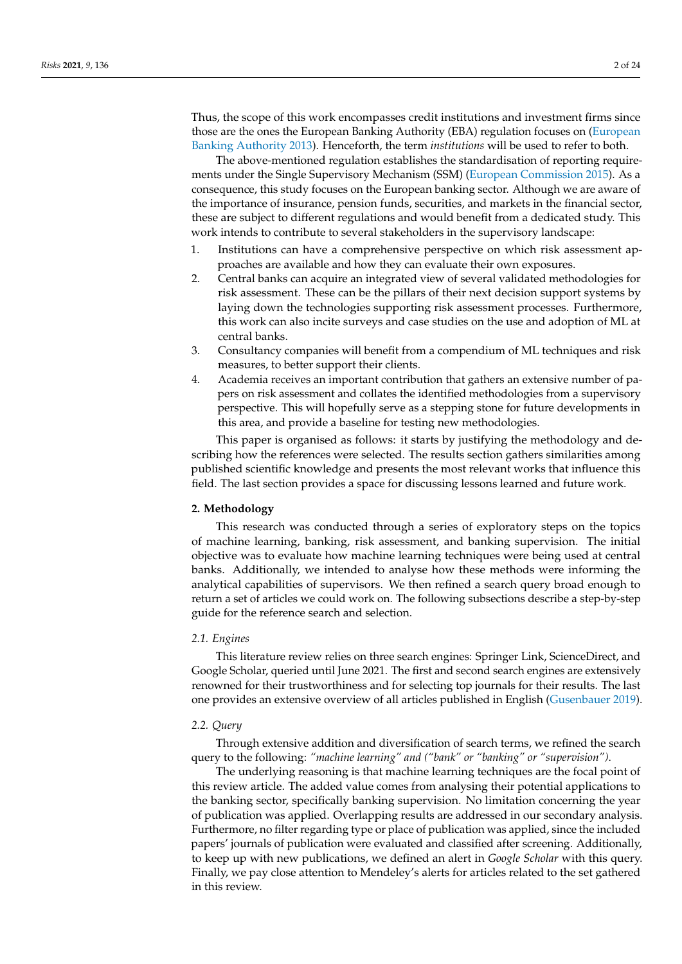Thus, the scope of this work encompasses credit institutions and investment firms since those are the ones the European Banking Authority (EBA) regulation focuses on [\(European](#page-22-1) [Banking Authority](#page-22-1) [2013\)](#page-22-1). Henceforth, the term *institutions* will be used to refer to both.

The above-mentioned regulation establishes the standardisation of reporting requirements under the Single Supervisory Mechanism (SSM) [\(European Commission](#page-22-2) [2015\)](#page-22-2). As a consequence, this study focuses on the European banking sector. Although we are aware of the importance of insurance, pension funds, securities, and markets in the financial sector, these are subject to different regulations and would benefit from a dedicated study. This work intends to contribute to several stakeholders in the supervisory landscape:

- 1. Institutions can have a comprehensive perspective on which risk assessment approaches are available and how they can evaluate their own exposures.
- 2. Central banks can acquire an integrated view of several validated methodologies for risk assessment. These can be the pillars of their next decision support systems by laying down the technologies supporting risk assessment processes. Furthermore, this work can also incite surveys and case studies on the use and adoption of ML at central banks.
- 3. Consultancy companies will benefit from a compendium of ML techniques and risk measures, to better support their clients.
- 4. Academia receives an important contribution that gathers an extensive number of papers on risk assessment and collates the identified methodologies from a supervisory perspective. This will hopefully serve as a stepping stone for future developments in this area, and provide a baseline for testing new methodologies.

This paper is organised as follows: it starts by justifying the methodology and describing how the references were selected. The results section gathers similarities among published scientific knowledge and presents the most relevant works that influence this field. The last section provides a space for discussing lessons learned and future work.

# **2. Methodology**

This research was conducted through a series of exploratory steps on the topics of machine learning, banking, risk assessment, and banking supervision. The initial objective was to evaluate how machine learning techniques were being used at central banks. Additionally, we intended to analyse how these methods were informing the analytical capabilities of supervisors. We then refined a search query broad enough to return a set of articles we could work on. The following subsections describe a step-by-step guide for the reference search and selection.

#### *2.1. Engines*

This literature review relies on three search engines: Springer Link, ScienceDirect, and Google Scholar, queried until June 2021. The first and second search engines are extensively renowned for their trustworthiness and for selecting top journals for their results. The last one provides an extensive overview of all articles published in English [\(Gusenbauer](#page-22-3) [2019\)](#page-22-3).

#### <span id="page-1-0"></span>*2.2. Query*

Through extensive addition and diversification of search terms, we refined the search query to the following: *"machine learning" and ("bank" or "banking" or "supervision")*.

The underlying reasoning is that machine learning techniques are the focal point of this review article. The added value comes from analysing their potential applications to the banking sector, specifically banking supervision. No limitation concerning the year of publication was applied. Overlapping results are addressed in our secondary analysis. Furthermore, no filter regarding type or place of publication was applied, since the included papers' journals of publication were evaluated and classified after screening. Additionally, to keep up with new publications, we defined an alert in *Google Scholar* with this query. Finally, we pay close attention to Mendeley's alerts for articles related to the set gathered in this review.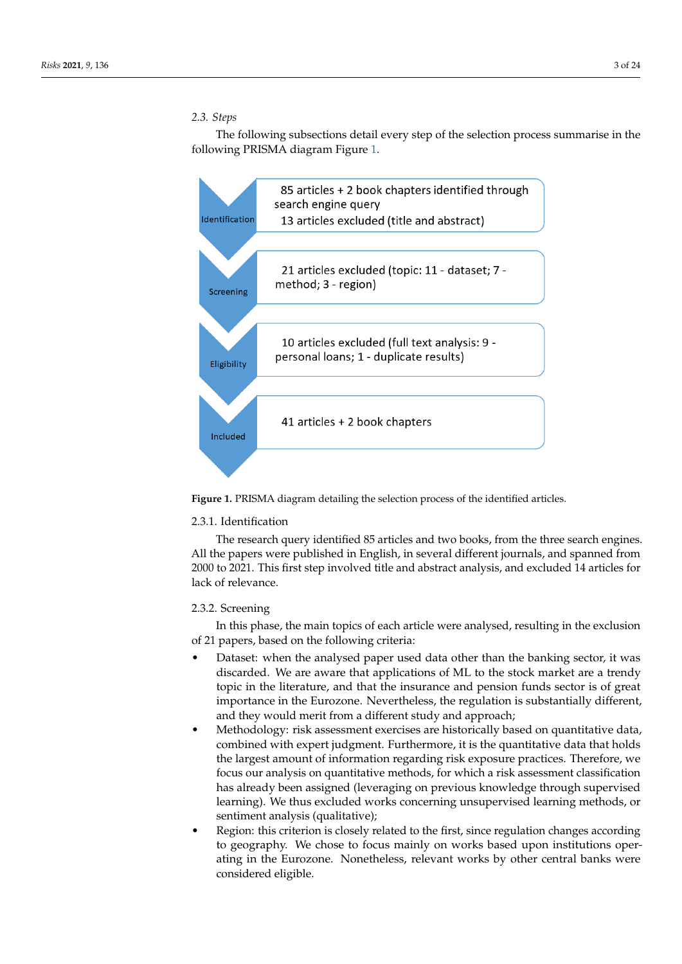# *2.3. Steps*

The following subsections detail every step of the selection process summarise in the following PRISMA diagram Figure [1.](#page-2-0)

<span id="page-2-0"></span>

**Figure 1.** PRISMA diagram detailing the selection process of the identified articles.

# 2.3.1. Identification

The research query identified 85 articles and two books, from the three search engines. All the papers were published in English, in several different journals, and spanned from 2000 to 2021. This first step involved title and abstract analysis, and excluded 14 articles for lack of relevance.

## 2.3.2. Screening

In this phase, the main topics of each article were analysed, resulting in the exclusion of 21 papers, based on the following criteria:

- Dataset: when the analysed paper used data other than the banking sector, it was discarded. We are aware that applications of ML to the stock market are a trendy topic in the literature, and that the insurance and pension funds sector is of great importance in the Eurozone. Nevertheless, the regulation is substantially different, and they would merit from a different study and approach;
- Methodology: risk assessment exercises are historically based on quantitative data, combined with expert judgment. Furthermore, it is the quantitative data that holds the largest amount of information regarding risk exposure practices. Therefore, we focus our analysis on quantitative methods, for which a risk assessment classification has already been assigned (leveraging on previous knowledge through supervised learning). We thus excluded works concerning unsupervised learning methods, or sentiment analysis (qualitative);
- Region: this criterion is closely related to the first, since regulation changes according to geography. We chose to focus mainly on works based upon institutions operating in the Eurozone. Nonetheless, relevant works by other central banks were considered eligible.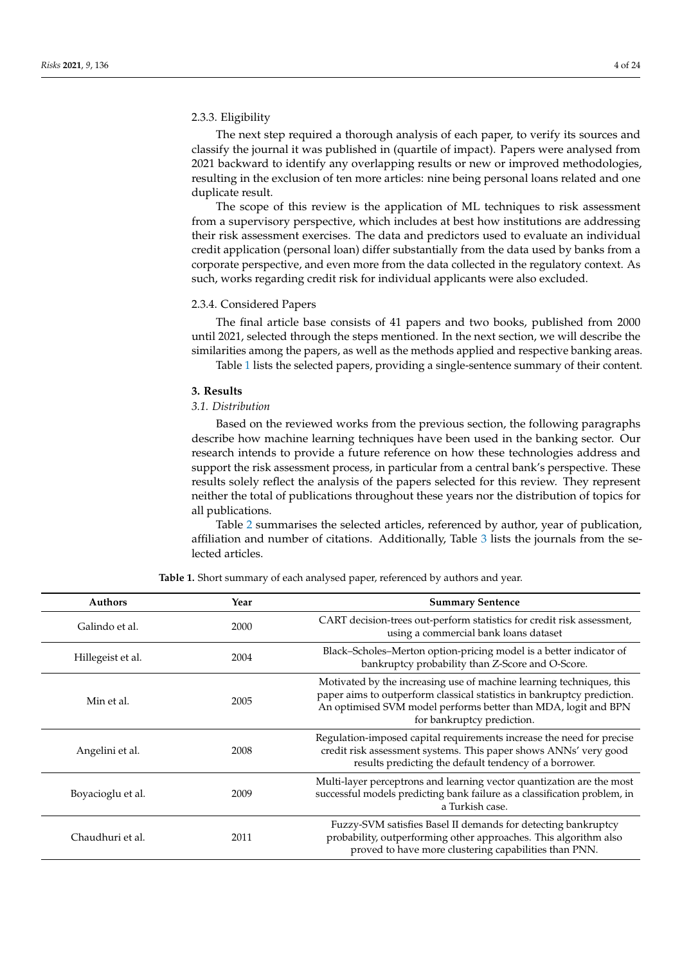## 2.3.3. Eligibility

The next step required a thorough analysis of each paper, to verify its sources and classify the journal it was published in (quartile of impact). Papers were analysed from 2021 backward to identify any overlapping results or new or improved methodologies, resulting in the exclusion of ten more articles: nine being personal loans related and one duplicate result.

The scope of this review is the application of ML techniques to risk assessment from a supervisory perspective, which includes at best how institutions are addressing their risk assessment exercises. The data and predictors used to evaluate an individual credit application (personal loan) differ substantially from the data used by banks from a corporate perspective, and even more from the data collected in the regulatory context. As such, works regarding credit risk for individual applicants were also excluded.

### 2.3.4. Considered Papers

The final article base consists of 41 papers and two books, published from 2000 until 2021, selected through the steps mentioned. In the next section, we will describe the similarities among the papers, as well as the methods applied and respective banking areas.

Table [1](#page-3-0) lists the selected papers, providing a single-sentence summary of their content.

#### **3. Results**

# *3.1. Distribution*

Based on the reviewed works from the previous section, the following paragraphs describe how machine learning techniques have been used in the banking sector. Our research intends to provide a future reference on how these technologies address and support the risk assessment process, in particular from a central bank's perspective. These results solely reflect the analysis of the papers selected for this review. They represent neither the total of publications throughout these years nor the distribution of topics for all publications.

Table [2](#page-6-0) summarises the selected articles, referenced by author, year of publication, affiliation and number of citations. Additionally, Table [3](#page-9-0) lists the journals from the selected articles.

<span id="page-3-0"></span>

| <b>Authors</b>    | Year | <b>Summary Sentence</b>                                                                                                                                                                                                                         |
|-------------------|------|-------------------------------------------------------------------------------------------------------------------------------------------------------------------------------------------------------------------------------------------------|
| Galindo et al.    | 2000 | CART decision-trees out-perform statistics for credit risk assessment,<br>using a commercial bank loans dataset                                                                                                                                 |
| Hillegeist et al. | 2004 | Black-Scholes-Merton option-pricing model is a better indicator of<br>bankruptcy probability than Z-Score and O-Score.                                                                                                                          |
| Min et al.        | 2005 | Motivated by the increasing use of machine learning techniques, this<br>paper aims to outperform classical statistics in bankruptcy prediction.<br>An optimised SVM model performs better than MDA, logit and BPN<br>for bankruptcy prediction. |
| Angelini et al.   | 2008 | Regulation-imposed capital requirements increase the need for precise<br>credit risk assessment systems. This paper shows ANNs' very good<br>results predicting the default tendency of a borrower.                                             |
| Boyacioglu et al. | 2009 | Multi-layer perceptrons and learning vector quantization are the most<br>successful models predicting bank failure as a classification problem, in<br>a Turkish case.                                                                           |
| Chaudhuri et al.  | 2011 | Fuzzy-SVM satisfies Basel II demands for detecting bankruptcy<br>probability, outperforming other approaches. This algorithm also<br>proved to have more clustering capabilities than PNN.                                                      |

**Table 1.** Short summary of each analysed paper, referenced by authors and year.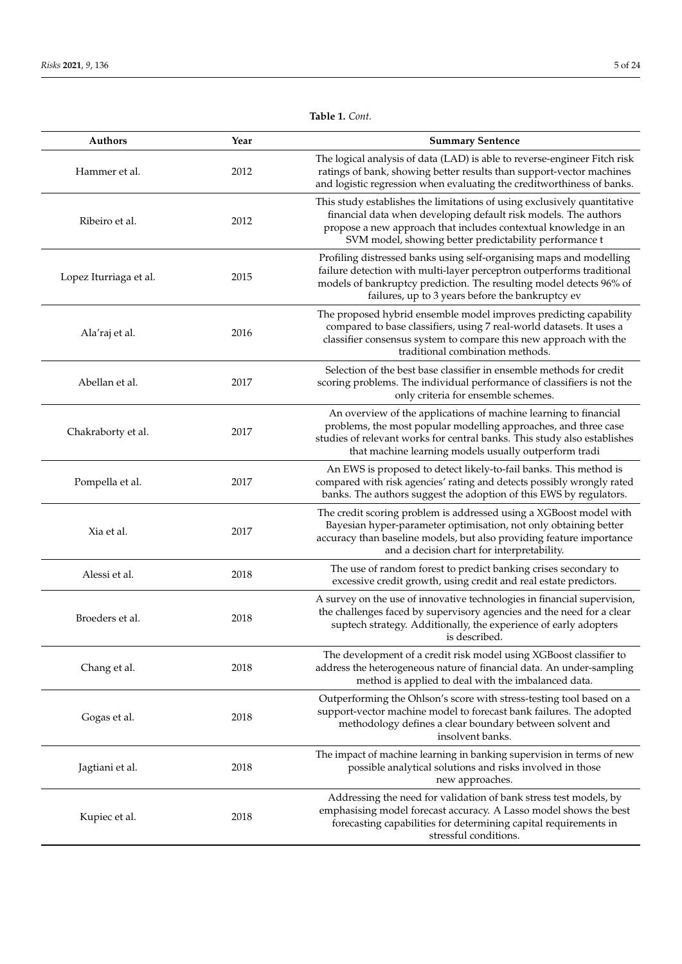| <b>Authors</b>         | Year | <b>Summary Sentence</b>                                                                                                                                                                                                                                                  |
|------------------------|------|--------------------------------------------------------------------------------------------------------------------------------------------------------------------------------------------------------------------------------------------------------------------------|
| Hammer et al.          | 2012 | The logical analysis of data (LAD) is able to reverse-engineer Fitch risk<br>ratings of bank, showing better results than support-vector machines<br>and logistic regression when evaluating the creditworthiness of banks.                                              |
| Ribeiro et al.         | 2012 | This study establishes the limitations of using exclusively quantitative<br>financial data when developing default risk models. The authors<br>propose a new approach that includes contextual knowledge in an<br>SVM model, showing better predictability performance t |
| Lopez Iturriaga et al. | 2015 | Profiling distressed banks using self-organising maps and modelling<br>failure detection with multi-layer perceptron outperforms traditional<br>models of bankruptcy prediction. The resulting model detects 96% of<br>failures, up to 3 years before the bankruptcy ev  |
| Ala'raj et al.         | 2016 | The proposed hybrid ensemble model improves predicting capability<br>compared to base classifiers, using 7 real-world datasets. It uses a<br>classifier consensus system to compare this new approach with the<br>traditional combination methods.                       |
| Abellan et al.         | 2017 | Selection of the best base classifier in ensemble methods for credit<br>scoring problems. The individual performance of classifiers is not the<br>only criteria for ensemble schemes.                                                                                    |
| Chakraborty et al.     | 2017 | An overview of the applications of machine learning to financial<br>problems, the most popular modelling approaches, and three case<br>studies of relevant works for central banks. This study also establishes<br>that machine learning models usually outperform tradi |
| Pompella et al.        | 2017 | An EWS is proposed to detect likely-to-fail banks. This method is<br>compared with risk agencies' rating and detects possibly wrongly rated<br>banks. The authors suggest the adoption of this EWS by regulators.                                                        |
| Xia et al.             | 2017 | The credit scoring problem is addressed using a XGBoost model with<br>Bayesian hyper-parameter optimisation, not only obtaining better<br>accuracy than baseline models, but also providing feature importance<br>and a decision chart for interpretability.             |
| Alessi et al.          | 2018 | The use of random forest to predict banking crises secondary to<br>excessive credit growth, using credit and real estate predictors.                                                                                                                                     |
| Broeders et al.        | 2018 | A survey on the use of innovative technologies in financial supervision,<br>the challenges faced by supervisory agencies and the need for a clear<br>suptech strategy. Additionally, the experience of early adopters<br>is described.                                   |
| Chang et al.           | 2018 | The development of a credit risk model using XGBoost classifier to<br>address the heterogeneous nature of financial data. An under-sampling<br>method is applied to deal with the imbalanced data.                                                                       |
| Gogas et al.           | 2018 | Outperforming the Ohlson's score with stress-testing tool based on a<br>support-vector machine model to forecast bank failures. The adopted<br>methodology defines a clear boundary between solvent and<br>insolvent banks.                                              |
| Jagtiani et al.        | 2018 | The impact of machine learning in banking supervision in terms of new<br>possible analytical solutions and risks involved in those<br>new approaches.                                                                                                                    |
| Kupiec et al.          | 2018 | Addressing the need for validation of bank stress test models, by<br>emphasising model forecast accuracy. A Lasso model shows the best<br>forecasting capabilities for determining capital requirements in<br>stressful conditions.                                      |

**Table 1.** *Cont.*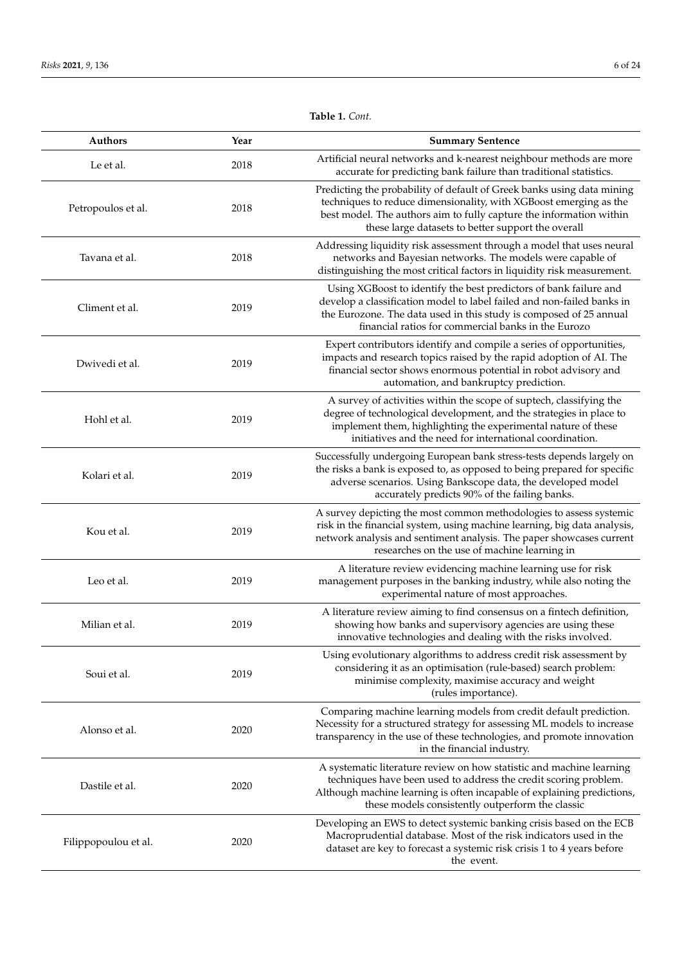| Authors              | Year | <b>Summary Sentence</b>                                                                                                                                                                                                                                                  |
|----------------------|------|--------------------------------------------------------------------------------------------------------------------------------------------------------------------------------------------------------------------------------------------------------------------------|
| Le et al.            | 2018 | Artificial neural networks and k-nearest neighbour methods are more<br>accurate for predicting bank failure than traditional statistics.                                                                                                                                 |
| Petropoulos et al.   | 2018 | Predicting the probability of default of Greek banks using data mining<br>techniques to reduce dimensionality, with XGBoost emerging as the<br>best model. The authors aim to fully capture the information within<br>these large datasets to better support the overall |
| Tavana et al.        | 2018 | Addressing liquidity risk assessment through a model that uses neural<br>networks and Bayesian networks. The models were capable of<br>distinguishing the most critical factors in liquidity risk measurement.                                                           |
| Climent et al.       | 2019 | Using XGBoost to identify the best predictors of bank failure and<br>develop a classification model to label failed and non-failed banks in<br>the Eurozone. The data used in this study is composed of 25 annual<br>financial ratios for commercial banks in the Eurozo |
| Dwivedi et al.       | 2019 | Expert contributors identify and compile a series of opportunities,<br>impacts and research topics raised by the rapid adoption of AI. The<br>financial sector shows enormous potential in robot advisory and<br>automation, and bankruptcy prediction.                  |
| Hohl et al.          | 2019 | A survey of activities within the scope of suptech, classifying the<br>degree of technological development, and the strategies in place to<br>implement them, highlighting the experimental nature of these<br>initiatives and the need for international coordination.  |
| Kolari et al.        | 2019 | Successfully undergoing European bank stress-tests depends largely on<br>the risks a bank is exposed to, as opposed to being prepared for specific<br>adverse scenarios. Using Bankscope data, the developed model<br>accurately predicts 90% of the failing banks.      |
| Kou et al.           | 2019 | A survey depicting the most common methodologies to assess systemic<br>risk in the financial system, using machine learning, big data analysis,<br>network analysis and sentiment analysis. The paper showcases current<br>researches on the use of machine learning in  |
| Leo et al.           | 2019 | A literature review evidencing machine learning use for risk<br>management purposes in the banking industry, while also noting the<br>experimental nature of most approaches.                                                                                            |
| Milian et al.        | 2019 | A literature review aiming to find consensus on a fintech definition,<br>showing how banks and supervisory agencies are using these<br>innovative technologies and dealing with the risks involved.                                                                      |
| Soui et al.          | 2019 | Using evolutionary algorithms to address credit risk assessment by<br>considering it as an optimisation (rule-based) search problem:<br>minimise complexity, maximise accuracy and weight<br>(rules importance).                                                         |
| Alonso et al.        | 2020 | Comparing machine learning models from credit default prediction.<br>Necessity for a structured strategy for assessing ML models to increase<br>transparency in the use of these technologies, and promote innovation<br>in the financial industry.                      |
| Dastile et al.       | 2020 | A systematic literature review on how statistic and machine learning<br>techniques have been used to address the credit scoring problem.<br>Although machine learning is often incapable of explaining predictions,<br>these models consistently outperform the classic  |
| Filippopoulou et al. | 2020 | Developing an EWS to detect systemic banking crisis based on the ECB<br>Macroprudential database. Most of the risk indicators used in the<br>dataset are key to forecast a systemic risk crisis 1 to 4 years before<br>the event.                                        |

**Table 1.** *Cont.*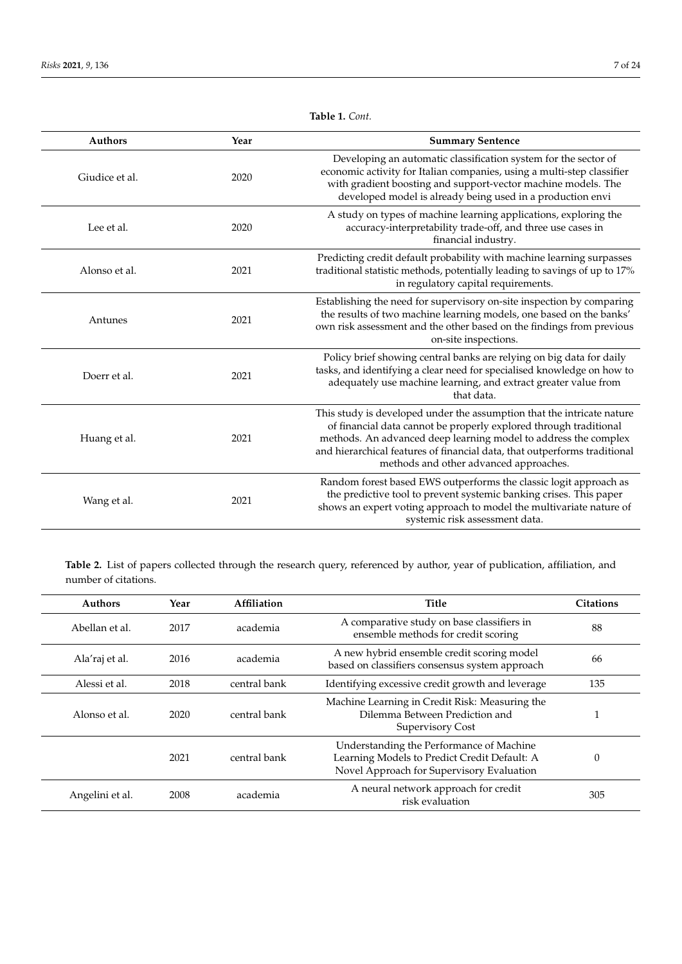| <b>Authors</b> | Year | <b>Summary Sentence</b>                                                                                                                                                                                                                                                                                                               |
|----------------|------|---------------------------------------------------------------------------------------------------------------------------------------------------------------------------------------------------------------------------------------------------------------------------------------------------------------------------------------|
| Giudice et al. | 2020 | Developing an automatic classification system for the sector of<br>economic activity for Italian companies, using a multi-step classifier<br>with gradient boosting and support-vector machine models. The<br>developed model is already being used in a production envi                                                              |
| Lee et al.     | 2020 | A study on types of machine learning applications, exploring the<br>accuracy-interpretability trade-off, and three use cases in<br>financial industry.                                                                                                                                                                                |
| Alonso et al.  | 2021 | Predicting credit default probability with machine learning surpasses<br>traditional statistic methods, potentially leading to savings of up to 17%<br>in regulatory capital requirements.                                                                                                                                            |
| Antunes        | 2021 | Establishing the need for supervisory on-site inspection by comparing<br>the results of two machine learning models, one based on the banks'<br>own risk assessment and the other based on the findings from previous<br>on-site inspections.                                                                                         |
| Doerr et al.   | 2021 | Policy brief showing central banks are relying on big data for daily<br>tasks, and identifying a clear need for specialised knowledge on how to<br>adequately use machine learning, and extract greater value from<br>that data.                                                                                                      |
| Huang et al.   | 2021 | This study is developed under the assumption that the intricate nature<br>of financial data cannot be properly explored through traditional<br>methods. An advanced deep learning model to address the complex<br>and hierarchical features of financial data, that outperforms traditional<br>methods and other advanced approaches. |
| Wang et al.    | 2021 | Random forest based EWS outperforms the classic logit approach as<br>the predictive tool to prevent systemic banking crises. This paper<br>shows an expert voting approach to model the multivariate nature of<br>systemic risk assessment data.                                                                                      |

**Table 1.** *Cont.*

<span id="page-6-0"></span>**Table 2.** List of papers collected through the research query, referenced by author, year of publication, affiliation, and number of citations.

| <b>Authors</b>  | Year | Affiliation  | <b>Title</b>                                                                                                                          | <b>Citations</b> |
|-----------------|------|--------------|---------------------------------------------------------------------------------------------------------------------------------------|------------------|
| Abellan et al.  | 2017 | academia     | A comparative study on base classifiers in<br>ensemble methods for credit scoring                                                     | 88               |
| Ala'raj et al.  | 2016 | academia     | A new hybrid ensemble credit scoring model<br>based on classifiers consensus system approach                                          | 66               |
| Alessi et al.   | 2018 | central bank | Identifying excessive credit growth and leverage                                                                                      | 135              |
| Alonso et al.   | 2020 | central bank | Machine Learning in Credit Risk: Measuring the<br>Dilemma Between Prediction and<br>Supervisory Cost                                  |                  |
|                 | 2021 | central bank | Understanding the Performance of Machine<br>Learning Models to Predict Credit Default: A<br>Novel Approach for Supervisory Evaluation | $\theta$         |
| Angelini et al. | 2008 | academia     | A neural network approach for credit<br>risk evaluation                                                                               | 305              |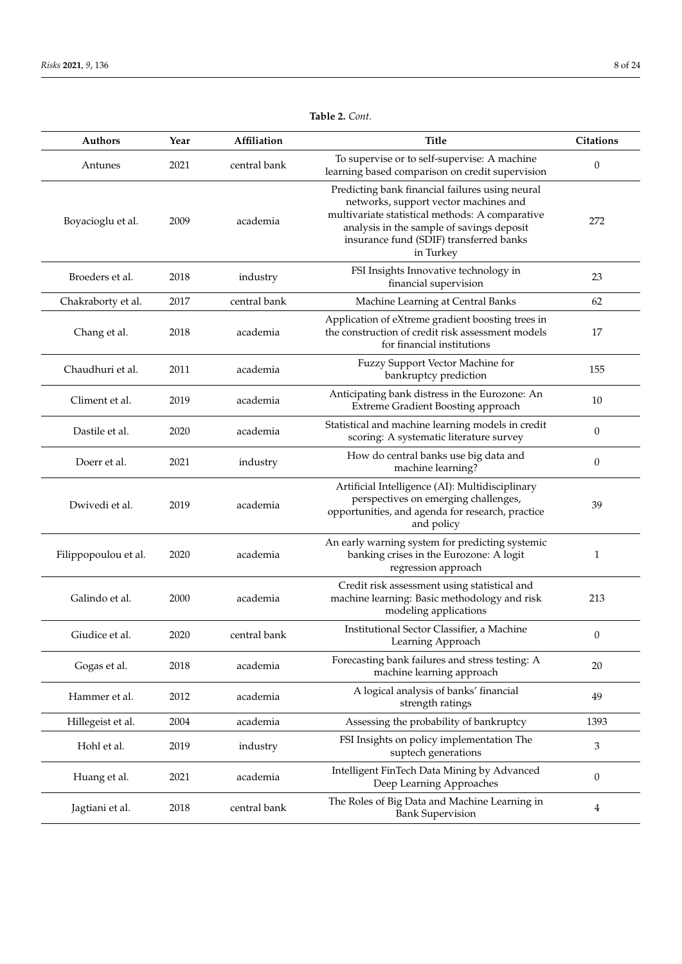| <b>Authors</b>       | Year | Affiliation  | <b>Title</b>                                                                                                                                                                                                                                     | <b>Citations</b> |
|----------------------|------|--------------|--------------------------------------------------------------------------------------------------------------------------------------------------------------------------------------------------------------------------------------------------|------------------|
| Antunes              | 2021 | central bank | To supervise or to self-supervise: A machine<br>learning based comparison on credit supervision                                                                                                                                                  | 0                |
| Boyacioglu et al.    | 2009 | academia     | Predicting bank financial failures using neural<br>networks, support vector machines and<br>multivariate statistical methods: A comparative<br>analysis in the sample of savings deposit<br>insurance fund (SDIF) transferred banks<br>in Turkey | 272              |
| Broeders et al.      | 2018 | industry     | FSI Insights Innovative technology in<br>financial supervision                                                                                                                                                                                   | 23               |
| Chakraborty et al.   | 2017 | central bank | Machine Learning at Central Banks                                                                                                                                                                                                                | 62               |
| Chang et al.         | 2018 | academia     | Application of eXtreme gradient boosting trees in<br>the construction of credit risk assessment models<br>for financial institutions                                                                                                             | 17               |
| Chaudhuri et al.     | 2011 | academia     | Fuzzy Support Vector Machine for<br>bankruptcy prediction                                                                                                                                                                                        | 155              |
| Climent et al.       | 2019 | academia     | Anticipating bank distress in the Eurozone: An<br>Extreme Gradient Boosting approach                                                                                                                                                             | 10               |
| Dastile et al.       | 2020 | academia     | Statistical and machine learning models in credit<br>scoring: A systematic literature survey                                                                                                                                                     | $\boldsymbol{0}$ |
| Doerr et al.         | 2021 | industry     | How do central banks use big data and<br>machine learning?                                                                                                                                                                                       | 0                |
| Dwivedi et al.       | 2019 | academia     | Artificial Intelligence (AI): Multidisciplinary<br>perspectives on emerging challenges,<br>opportunities, and agenda for research, practice<br>and policy                                                                                        | 39               |
| Filippopoulou et al. | 2020 | academia     | An early warning system for predicting systemic<br>banking crises in the Eurozone: A logit<br>regression approach                                                                                                                                | $\mathbf{1}$     |
| Galindo et al.       | 2000 | academia     | Credit risk assessment using statistical and<br>machine learning: Basic methodology and risk<br>modeling applications                                                                                                                            | 213              |
| Giudice et al.       | 2020 | central bank | Institutional Sector Classifier, a Machine<br>Learning Approach                                                                                                                                                                                  | 0                |
| Gogas et al.         | 2018 | academia     | Forecasting bank failures and stress testing: A<br>machine learning approach                                                                                                                                                                     | 20               |
| Hammer et al.        | 2012 | academia     | A logical analysis of banks' financial<br>strength ratings                                                                                                                                                                                       | 49               |
| Hillegeist et al.    | 2004 | academia     | Assessing the probability of bankruptcy                                                                                                                                                                                                          | 1393             |
| Hohl et al.          | 2019 | industry     | FSI Insights on policy implementation The<br>suptech generations                                                                                                                                                                                 | 3                |
| Huang et al.         | 2021 | academia     | Intelligent FinTech Data Mining by Advanced<br>Deep Learning Approaches                                                                                                                                                                          | $\boldsymbol{0}$ |
| Jagtiani et al.      | 2018 | central bank | The Roles of Big Data and Machine Learning in<br><b>Bank Supervision</b>                                                                                                                                                                         | 4                |

**Table 2.** *Cont.*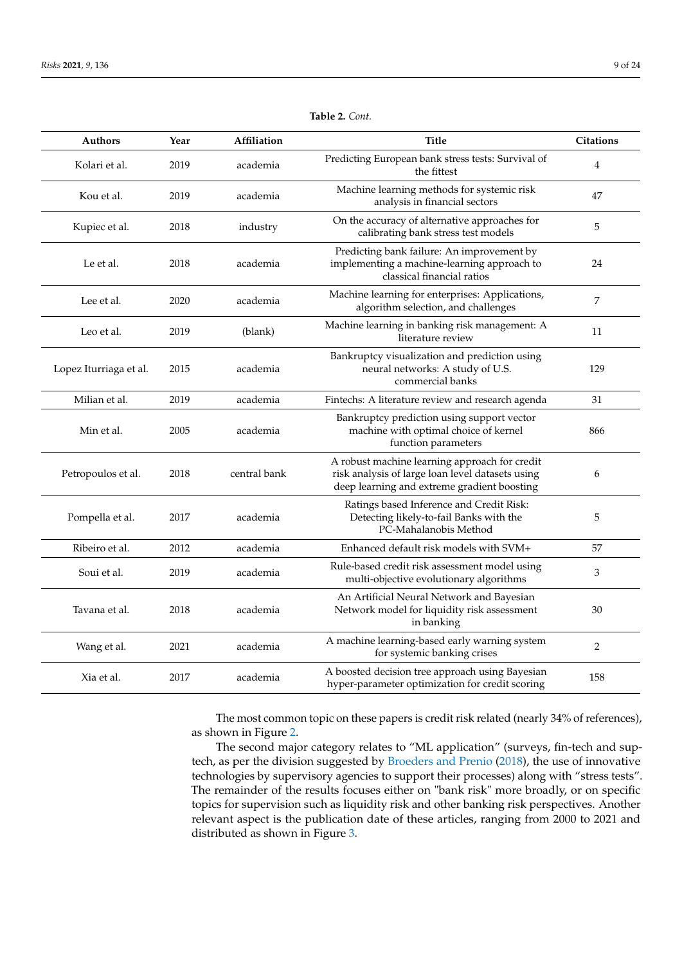| <b>Authors</b>         | Year | Affiliation  | <b>Title</b>                                                                                                                                     | <b>Citations</b> |
|------------------------|------|--------------|--------------------------------------------------------------------------------------------------------------------------------------------------|------------------|
| Kolari et al.          | 2019 | academia     | Predicting European bank stress tests: Survival of<br>the fittest                                                                                | 4                |
| Kou et al.             | 2019 | academia     | Machine learning methods for systemic risk<br>analysis in financial sectors                                                                      | 47               |
| Kupiec et al.          | 2018 | industry     | On the accuracy of alternative approaches for<br>calibrating bank stress test models                                                             | 5                |
| Le et al.              | 2018 | academia     | Predicting bank failure: An improvement by<br>implementing a machine-learning approach to<br>classical financial ratios                          | 24               |
| Lee et al.             | 2020 | academia     | Machine learning for enterprises: Applications,<br>algorithm selection, and challenges                                                           | 7                |
| Leo et al.             | 2019 | (blank)      | Machine learning in banking risk management: A<br>literature review                                                                              | 11               |
| Lopez Iturriaga et al. | 2015 | academia     | Bankruptcy visualization and prediction using<br>neural networks: A study of U.S.<br>commercial banks                                            | 129              |
| Milian et al.          | 2019 | academia     | Fintechs: A literature review and research agenda                                                                                                | 31               |
| Min et al.             | 2005 | academia     | Bankruptcy prediction using support vector<br>machine with optimal choice of kernel<br>function parameters                                       | 866              |
| Petropoulos et al.     | 2018 | central bank | A robust machine learning approach for credit<br>risk analysis of large loan level datasets using<br>deep learning and extreme gradient boosting | 6                |
| Pompella et al.        | 2017 | academia     | Ratings based Inference and Credit Risk:<br>Detecting likely-to-fail Banks with the<br>PC-Mahalanobis Method                                     | 5                |
| Ribeiro et al.         | 2012 | academia     | Enhanced default risk models with SVM+                                                                                                           | 57               |
| Soui et al.            | 2019 | academia     | Rule-based credit risk assessment model using<br>multi-objective evolutionary algorithms                                                         | 3                |
| Tavana et al.          | 2018 | academia     | An Artificial Neural Network and Bayesian<br>Network model for liquidity risk assessment<br>in banking                                           | 30               |
| Wang et al.            | 2021 | academia     | A machine learning-based early warning system<br>for systemic banking crises                                                                     | 2                |
| Xia et al.             | 2017 | academia     | A boosted decision tree approach using Bayesian<br>hyper-parameter optimization for credit scoring                                               | 158              |

**Table 2.** *Cont.*

The most common topic on these papers is credit risk related (nearly 34% of references), as shown in Figure [2.](#page-10-0)

The second major category relates to "ML application" (surveys, fin-tech and suptech, as per the division suggested by [Broeders and Prenio](#page-21-1) [\(2018\)](#page-21-1), the use of innovative technologies by supervisory agencies to support their processes) along with "stress tests". The remainder of the results focuses either on "bank risk" more broadly, or on specific topics for supervision such as liquidity risk and other banking risk perspectives. Another relevant aspect is the publication date of these articles, ranging from 2000 to 2021 and distributed as shown in Figure [3.](#page-10-1)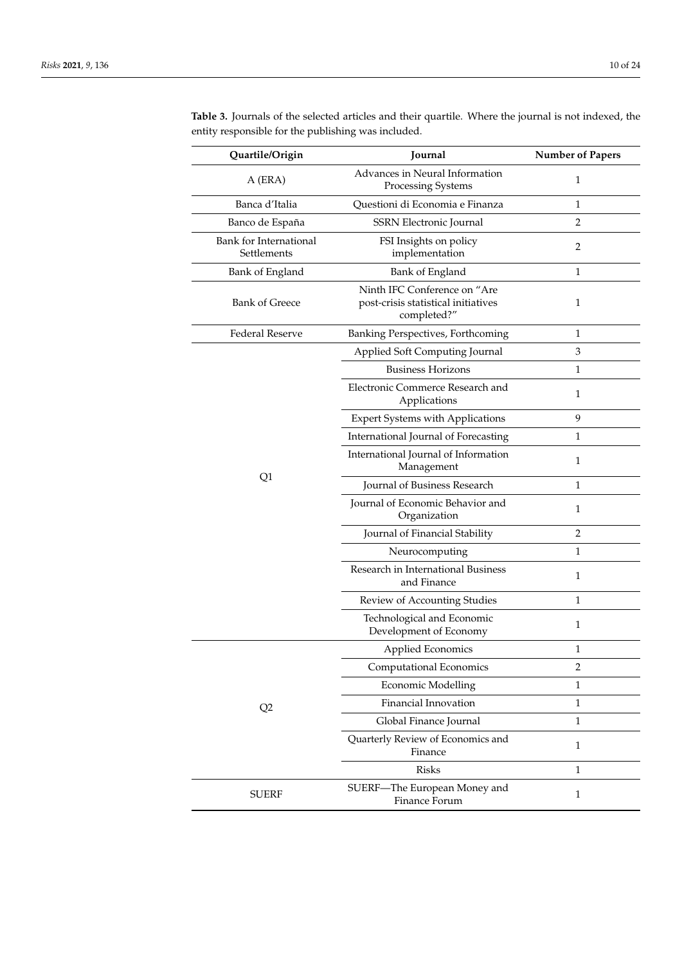| Quartile/Origin                       | Journal                                                                            | <b>Number of Papers</b> |
|---------------------------------------|------------------------------------------------------------------------------------|-------------------------|
| A (ERA)                               | Advances in Neural Information<br>Processing Systems                               | $\mathbf{1}$            |
| Banca d'Italia                        | Questioni di Economia e Finanza                                                    | 1                       |
| Banco de España                       | SSRN Electronic Journal                                                            | 2                       |
| Bank for International<br>Settlements | FSI Insights on policy<br>implementation                                           | 2                       |
| Bank of England                       | Bank of England                                                                    | 1                       |
| <b>Bank of Greece</b>                 | Ninth IFC Conference on "Are<br>post-crisis statistical initiatives<br>completed?" | 1                       |
| <b>Federal Reserve</b>                | Banking Perspectives, Forthcoming                                                  | 1                       |
|                                       | Applied Soft Computing Journal                                                     | 3                       |
|                                       | <b>Business Horizons</b>                                                           | $\mathbf{1}$            |
|                                       | Electronic Commerce Research and<br>Applications                                   | $\mathbf{1}$            |
|                                       | <b>Expert Systems with Applications</b>                                            | 9                       |
|                                       | International Journal of Forecasting                                               | 1                       |
|                                       | International Journal of Information<br>Management                                 | 1                       |
| Q1                                    | Journal of Business Research                                                       | 1                       |
|                                       | Journal of Economic Behavior and<br>Organization                                   | $\mathbf{1}$            |
|                                       | Journal of Financial Stability                                                     | $\overline{2}$          |
|                                       | Neurocomputing                                                                     | 1                       |
|                                       | Research in International Business<br>and Finance                                  | 1                       |
|                                       | Review of Accounting Studies                                                       | 1                       |
|                                       | Technological and Economic<br>Development of Economy                               | 1                       |
|                                       | Applied Economics                                                                  | 1                       |
|                                       | Computational Economics                                                            | $\overline{2}$          |
|                                       | <b>Economic Modelling</b>                                                          | $\mathbf{1}$            |
| Q2                                    | Financial Innovation                                                               | 1                       |
|                                       | Global Finance Journal                                                             | $\mathbf{1}$            |
|                                       | Quarterly Review of Economics and<br>Finance                                       | $\mathbf{1}$            |
|                                       | <b>Risks</b>                                                                       | 1                       |
| <b>SUERF</b>                          | SUERF-The European Money and<br>Finance Forum                                      | $\mathbf{1}$            |

<span id="page-9-0"></span>**Table 3.** Journals of the selected articles and their quartile. Where the journal is not indexed, the entity responsible for the publishing was included.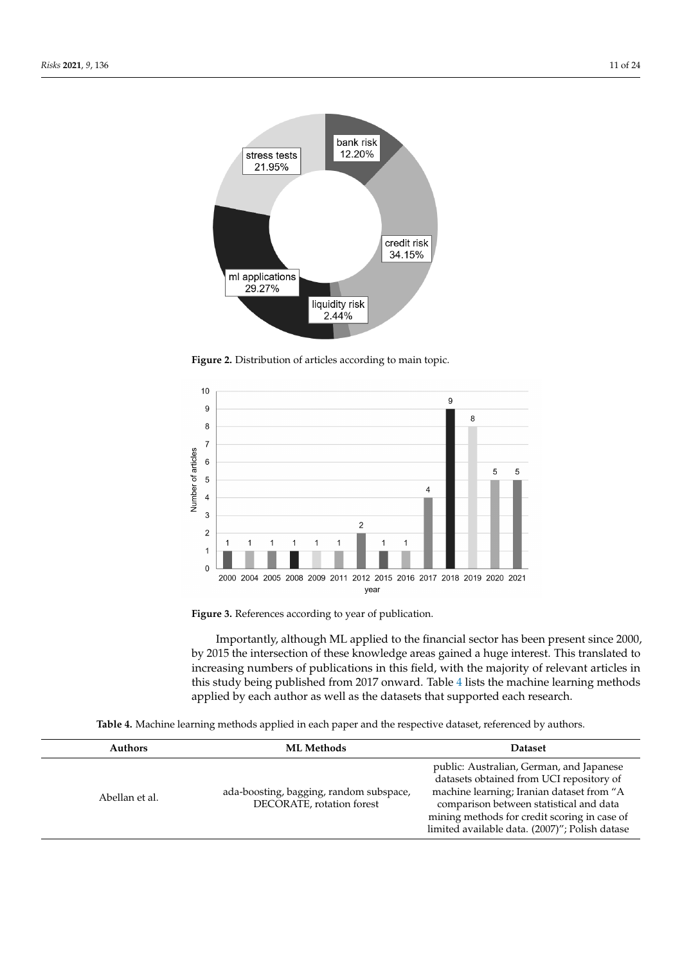<span id="page-10-0"></span>

**Figure 2.** Distribution of articles according to main topic.

<span id="page-10-1"></span>



Importantly, although ML applied to the financial sector has been present since 2000, by 2015 the intersection of these knowledge areas gained a huge interest. This translated to increasing numbers of publications in this field, with the majority of relevant articles in this study being published from 2017 onward. Table [4](#page-10-2) lists the machine learning methods applied by each author as well as the datasets that supported each research.

**Table 4.** Machine learning methods applied in each paper and the respective dataset, referenced by authors.

<span id="page-10-2"></span>

| public: Australian, German, and Japanese<br>datasets obtained from UCI repository of<br>machine learning; Iranian dataset from "A<br>ada-boosting, bagging, random subspace,<br>Abellan et al.<br>DECORATE, rotation forest<br>comparison between statistical and data<br>mining methods for credit scoring in case of<br>limited available data. (2007)"; Polish datase | <b>Authors</b> | <b>ML Methods</b> | <b>Dataset</b> |
|--------------------------------------------------------------------------------------------------------------------------------------------------------------------------------------------------------------------------------------------------------------------------------------------------------------------------------------------------------------------------|----------------|-------------------|----------------|
|                                                                                                                                                                                                                                                                                                                                                                          |                |                   |                |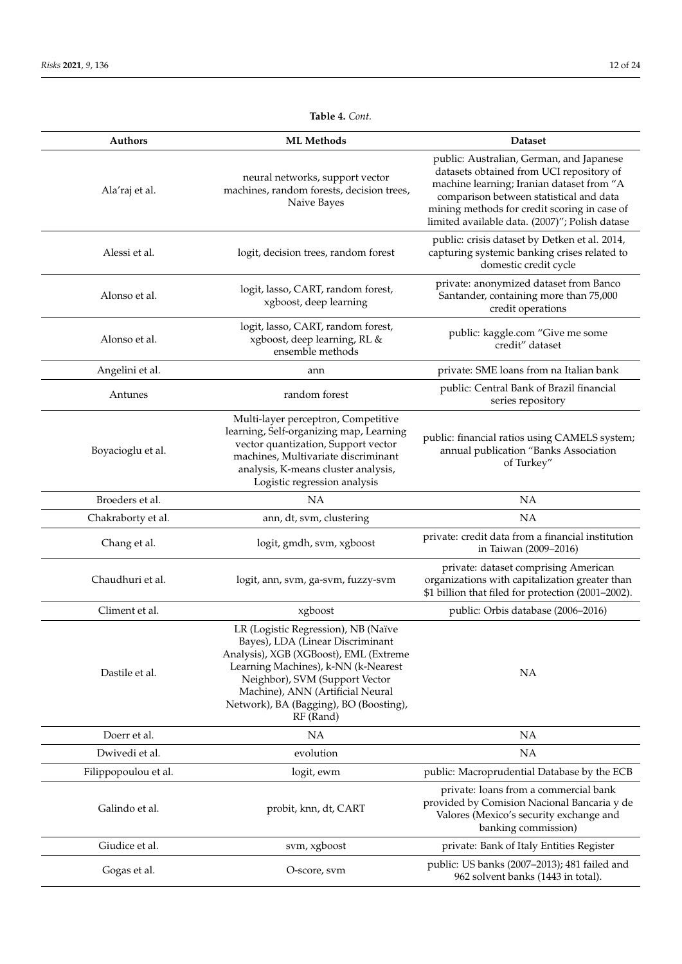962 solvent banks (1443 in total).

#### **Authors ML Methods Dataset** Ala'raj et al. neural networks, support vector machines, random forests, decision trees, Naive Bayes public: Australian, German, and Japanese datasets obtained from UCI repository of machine learning; Iranian dataset from "A comparison between statistical and data mining methods for credit scoring in case of limited available data. (2007)"; Polish datase Alessi et al. logit, decision trees, random forest public: crisis dataset by Detken et al. 2014, capturing systemic banking crises related to domestic credit cycle Alonso et al. logit, lasso, CART, random forest, xgboost, deep learning private: anonymized dataset from Banco Santander, containing more than 75,000 credit operations Alonso et al. logit, lasso, CART, random forest, xgboost, deep learning, RL & ensemble methods public: kaggle.com "Give me some credit" dataset Angelini et al. **Angelini et al. ann** private: SME loans from na Italian bank Antunes random forest public: Central Bank of Brazil financial series repository Boyacioglu et al. Multi-layer perceptron, Competitive learning, Self-organizing map, Learning vector quantization, Support vector machines, Multivariate discriminant analysis, K-means cluster analysis, Logistic regression analysis public: financial ratios using CAMELS system; annual publication "Banks Association of Turkey" Broeders et al. NA NA Chakraborty et al. **ann**, dt, svm, clustering **NA** Chang et al. logit, gmdh, svm, xgboost private: credit data from a financial institution in Taiwan (2009–2016) Chaudhuri et al. logit, ann, svm, ga-svm, fuzzy-svm private: dataset comprising American organizations with capitalization greater than \$1 billion that filed for protection (2001–2002). Climent et al. xgboost public: Orbis database (2006–2016) Dastile et al. LR (Logistic Regression), NB (Naïve Bayes), LDA (Linear Discriminant Analysis), XGB (XGBoost), EML (Extreme Learning Machines), k-NN (k-Nearest Neighbor), SVM (Support Vector Machine), ANN (Artificial Neural Network), BA (Bagging), BO (Boosting), RF (Rand) NA Doerr et al. NA NA Dwivedi et al. NA evolution explored by the set of the NA evolution of the NA evolution of the NA evolution of the NA evolution of the NA evolution of the NA evolution of the NA evolution of the NA evolution of the NA evol Filippopoulou et al. logit, ewm public: Macroprudential Database by the ECB Galindo et al. et a probit, knn, dt, CART private: loans from a commercial bank provided by Comision Nacional Bancaria y de Valores (Mexico's security exchange and banking commission) Giudice et al. Solution of the sum, xgboost private: Bank of Italy Entities Register Gogas et al. Coscore, svm public: US banks (2007–2013); 481 failed and public: US banks (2007–2013); 481 failed and

# **Table 4.** *Cont.*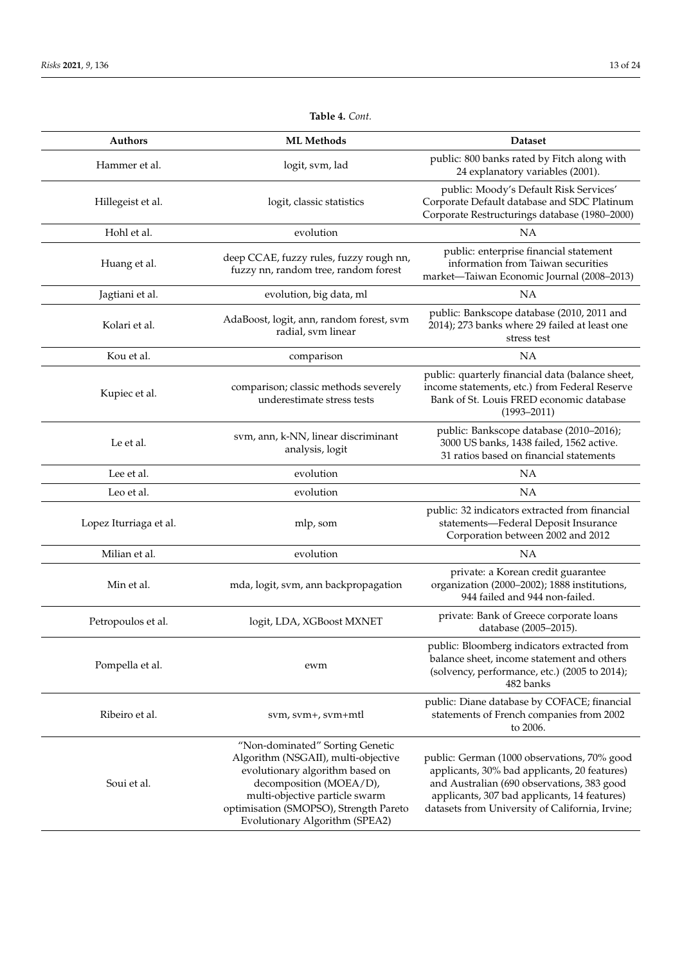| Authors                | <b>ML</b> Methods                                                                                                                                                                                                                                  | <b>Dataset</b>                                                                                                                                                                                                                               |
|------------------------|----------------------------------------------------------------------------------------------------------------------------------------------------------------------------------------------------------------------------------------------------|----------------------------------------------------------------------------------------------------------------------------------------------------------------------------------------------------------------------------------------------|
| Hammer et al.          | logit, svm, lad                                                                                                                                                                                                                                    | public: 800 banks rated by Fitch along with<br>24 explanatory variables (2001).                                                                                                                                                              |
| Hillegeist et al.      | logit, classic statistics                                                                                                                                                                                                                          | public: Moody's Default Risk Services'<br>Corporate Default database and SDC Platinum<br>Corporate Restructurings database (1980-2000)                                                                                                       |
| Hohl et al.            | evolution                                                                                                                                                                                                                                          | ΝA                                                                                                                                                                                                                                           |
| Huang et al.           | deep CCAE, fuzzy rules, fuzzy rough nn,<br>fuzzy nn, random tree, random forest                                                                                                                                                                    | public: enterprise financial statement<br>information from Taiwan securities<br>market-Taiwan Economic Journal (2008-2013)                                                                                                                   |
| Jagtiani et al.        | evolution, big data, ml                                                                                                                                                                                                                            | <b>NA</b>                                                                                                                                                                                                                                    |
| Kolari et al.          | AdaBoost, logit, ann, random forest, svm<br>radial, svm linear                                                                                                                                                                                     | public: Bankscope database (2010, 2011 and<br>2014); 273 banks where 29 failed at least one<br>stress test                                                                                                                                   |
| Kou et al.             | comparison                                                                                                                                                                                                                                         | <b>NA</b>                                                                                                                                                                                                                                    |
| Kupiec et al.          | comparison; classic methods severely<br>underestimate stress tests                                                                                                                                                                                 | public: quarterly financial data (balance sheet,<br>income statements, etc.) from Federal Reserve<br>Bank of St. Louis FRED economic database<br>$(1993 - 2011)$                                                                             |
| Le et al.              | svm, ann, k-NN, linear discriminant<br>analysis, logit                                                                                                                                                                                             | public: Bankscope database (2010-2016);<br>3000 US banks, 1438 failed, 1562 active.<br>31 ratios based on financial statements                                                                                                               |
| Lee et al.             | evolution                                                                                                                                                                                                                                          | <b>NA</b>                                                                                                                                                                                                                                    |
| Leo et al.             | evolution                                                                                                                                                                                                                                          | <b>NA</b>                                                                                                                                                                                                                                    |
| Lopez Iturriaga et al. | mlp, som                                                                                                                                                                                                                                           | public: 32 indicators extracted from financial<br>statements-Federal Deposit Insurance<br>Corporation between 2002 and 2012                                                                                                                  |
| Milian et al.          | evolution                                                                                                                                                                                                                                          | <b>NA</b>                                                                                                                                                                                                                                    |
| Min et al.             | mda, logit, svm, ann backpropagation                                                                                                                                                                                                               | private: a Korean credit guarantee<br>organization (2000-2002); 1888 institutions,<br>944 failed and 944 non-failed.                                                                                                                         |
| Petropoulos et al.     | logit, LDA, XGBoost MXNET                                                                                                                                                                                                                          | private: Bank of Greece corporate loans<br>database (2005-2015).                                                                                                                                                                             |
| Pompella et al.        | ewm                                                                                                                                                                                                                                                | public: Bloomberg indicators extracted from<br>balance sheet, income statement and others<br>(solvency, performance, etc.) (2005 to 2014);<br>482 banks                                                                                      |
| Ribeiro et al.         | sym, sym+, sym+mtl                                                                                                                                                                                                                                 | public: Diane database by COFACE; financial<br>statements of French companies from 2002<br>to 2006.                                                                                                                                          |
| Soui et al.            | "Non-dominated" Sorting Genetic<br>Algorithm (NSGAII), multi-objective<br>evolutionary algorithm based on<br>decomposition (MOEA/D),<br>multi-objective particle swarm<br>optimisation (SMOPSO), Strength Pareto<br>Evolutionary Algorithm (SPEA2) | public: German (1000 observations, 70% good<br>applicants, 30% bad applicants, 20 features)<br>and Australian (690 observations, 383 good<br>applicants, 307 bad applicants, 14 features)<br>datasets from University of California, Irvine; |

**Table 4.** *Cont.*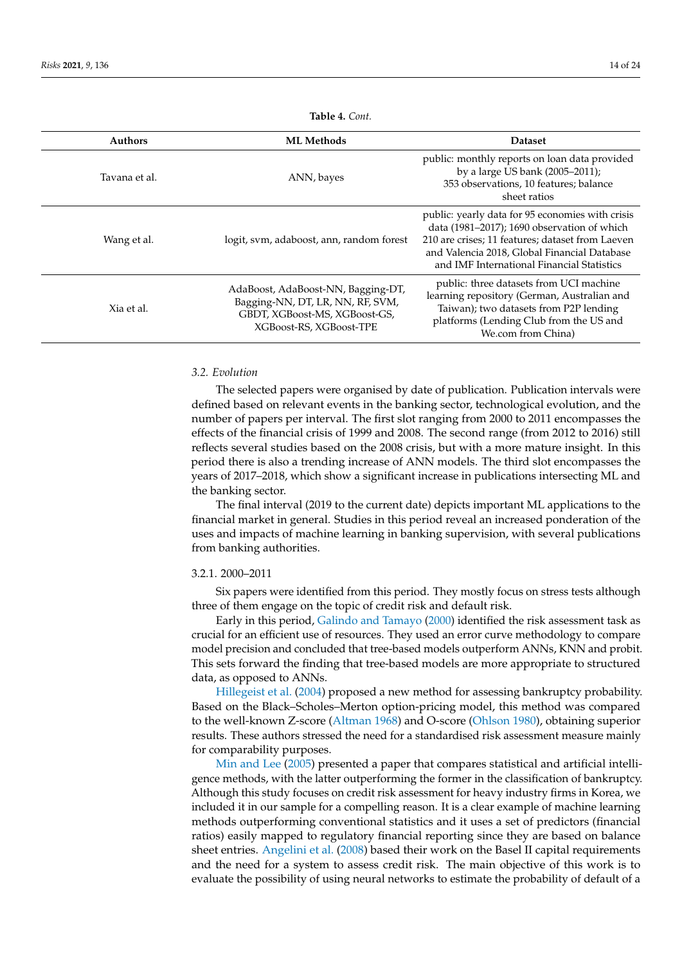| <b>Authors</b> | <b>ML Methods</b>                                                                                                                  | <b>Dataset</b>                                                                                                                                                                                                                                    |
|----------------|------------------------------------------------------------------------------------------------------------------------------------|---------------------------------------------------------------------------------------------------------------------------------------------------------------------------------------------------------------------------------------------------|
| Tavana et al.  | ANN, bayes                                                                                                                         | public: monthly reports on loan data provided<br>by a large US bank (2005-2011);<br>353 observations, 10 features; balance<br>sheet ratios                                                                                                        |
| Wang et al.    | logit, sym, adaboost, ann, random forest                                                                                           | public: yearly data for 95 economies with crisis<br>data (1981–2017); 1690 observation of which<br>210 are crises; 11 features; dataset from Laeven<br>and Valencia 2018, Global Financial Database<br>and IMF International Financial Statistics |
| Xia et al.     | AdaBoost, AdaBoost-NN, Bagging-DT,<br>Bagging-NN, DT, LR, NN, RF, SVM,<br>GBDT, XGBoost-MS, XGBoost-GS,<br>XGBoost-RS, XGBoost-TPE | public: three datasets from UCI machine<br>learning repository (German, Australian and<br>Taiwan); two datasets from P2P lending<br>platforms (Lending Club from the US and<br>We.com from China)                                                 |

**Table 4.** *Cont.*

# *3.2. Evolution*

The selected papers were organised by date of publication. Publication intervals were defined based on relevant events in the banking sector, technological evolution, and the number of papers per interval. The first slot ranging from 2000 to 2011 encompasses the effects of the financial crisis of 1999 and 2008. The second range (from 2012 to 2016) still reflects several studies based on the 2008 crisis, but with a more mature insight. In this period there is also a trending increase of ANN models. The third slot encompasses the years of 2017–2018, which show a significant increase in publications intersecting ML and the banking sector.

The final interval (2019 to the current date) depicts important ML applications to the financial market in general. Studies in this period reveal an increased ponderation of the uses and impacts of machine learning in banking supervision, with several publications from banking authorities.

#### 3.2.1. 2000–2011

Six papers were identified from this period. They mostly focus on stress tests although three of them engage on the topic of credit risk and default risk.

Early in this period, [Galindo and Tamayo](#page-22-4) [\(2000\)](#page-22-4) identified the risk assessment task as crucial for an efficient use of resources. They used an error curve methodology to compare model precision and concluded that tree-based models outperform ANNs, KNN and probit. This sets forward the finding that tree-based models are more appropriate to structured data, as opposed to ANNs.

[Hillegeist et al.](#page-22-5) [\(2004\)](#page-22-5) proposed a new method for assessing bankruptcy probability. Based on the Black–Scholes–Merton option-pricing model, this method was compared to the well-known Z-score [\(Altman](#page-21-2) [1968\)](#page-21-2) and O-score [\(Ohlson](#page-23-0) [1980\)](#page-23-0), obtaining superior results. These authors stressed the need for a standardised risk assessment measure mainly for comparability purposes.

[Min and Lee](#page-23-1) [\(2005\)](#page-23-1) presented a paper that compares statistical and artificial intelligence methods, with the latter outperforming the former in the classification of bankruptcy. Although this study focuses on credit risk assessment for heavy industry firms in Korea, we included it in our sample for a compelling reason. It is a clear example of machine learning methods outperforming conventional statistics and it uses a set of predictors (financial ratios) easily mapped to regulatory financial reporting since they are based on balance sheet entries. [Angelini et al.](#page-21-3) [\(2008\)](#page-21-3) based their work on the Basel II capital requirements and the need for a system to assess credit risk. The main objective of this work is to evaluate the possibility of using neural networks to estimate the probability of default of a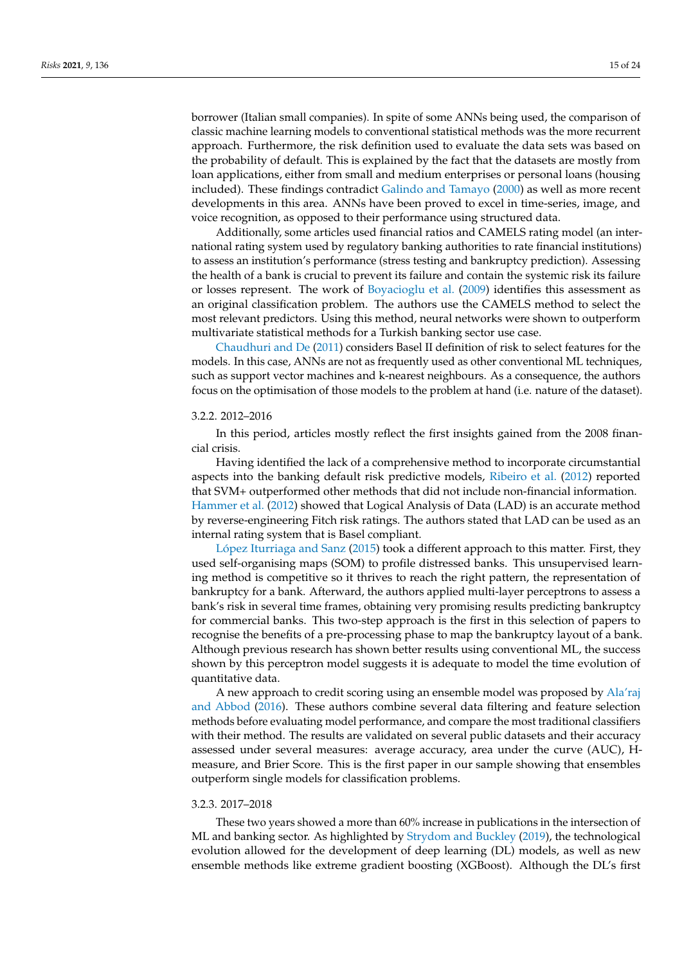borrower (Italian small companies). In spite of some ANNs being used, the comparison of classic machine learning models to conventional statistical methods was the more recurrent approach. Furthermore, the risk definition used to evaluate the data sets was based on the probability of default. This is explained by the fact that the datasets are mostly from loan applications, either from small and medium enterprises or personal loans (housing included). These findings contradict [Galindo and Tamayo](#page-22-4) [\(2000\)](#page-22-4) as well as more recent developments in this area. ANNs have been proved to excel in time-series, image, and voice recognition, as opposed to their performance using structured data.

Additionally, some articles used financial ratios and CAMELS rating model (an international rating system used by regulatory banking authorities to rate financial institutions) to assess an institution's performance (stress testing and bankruptcy prediction). Assessing the health of a bank is crucial to prevent its failure and contain the systemic risk its failure or losses represent. The work of [Boyacioglu et al.](#page-21-4) [\(2009\)](#page-21-4) identifies this assessment as an original classification problem. The authors use the CAMELS method to select the most relevant predictors. Using this method, neural networks were shown to outperform multivariate statistical methods for a Turkish banking sector use case.

[Chaudhuri and De](#page-22-6) [\(2011\)](#page-22-6) considers Basel II definition of risk to select features for the models. In this case, ANNs are not as frequently used as other conventional ML techniques, such as support vector machines and k-nearest neighbours. As a consequence, the authors focus on the optimisation of those models to the problem at hand (i.e. nature of the dataset).

#### 3.2.2. 2012–2016

In this period, articles mostly reflect the first insights gained from the 2008 financial crisis.

Having identified the lack of a comprehensive method to incorporate circumstantial aspects into the banking default risk predictive models, [Ribeiro et al.](#page-23-2) [\(2012\)](#page-23-2) reported that SVM+ outperformed other methods that did not include non-financial information. [Hammer et al.](#page-22-7) [\(2012\)](#page-22-7) showed that Logical Analysis of Data (LAD) is an accurate method by reverse-engineering Fitch risk ratings. The authors stated that LAD can be used as an internal rating system that is Basel compliant.

[López Iturriaga and Sanz](#page-22-8) [\(2015\)](#page-22-8) took a different approach to this matter. First, they used self-organising maps (SOM) to profile distressed banks. This unsupervised learning method is competitive so it thrives to reach the right pattern, the representation of bankruptcy for a bank. Afterward, the authors applied multi-layer perceptrons to assess a bank's risk in several time frames, obtaining very promising results predicting bankruptcy for commercial banks. This two-step approach is the first in this selection of papers to recognise the benefits of a pre-processing phase to map the bankruptcy layout of a bank. Although previous research has shown better results using conventional ML, the success shown by this perceptron model suggests it is adequate to model the time evolution of quantitative data.

A new approach to credit scoring using an ensemble model was proposed by [Ala'raj](#page-21-5) [and Abbod](#page-21-5) [\(2016\)](#page-21-5). These authors combine several data filtering and feature selection methods before evaluating model performance, and compare the most traditional classifiers with their method. The results are validated on several public datasets and their accuracy assessed under several measures: average accuracy, area under the curve (AUC), Hmeasure, and Brier Score. This is the first paper in our sample showing that ensembles outperform single models for classification problems.

### 3.2.3. 2017–2018

These two years showed a more than 60% increase in publications in the intersection of ML and banking sector. As highlighted by [Strydom and Buckley](#page-23-3) [\(2019\)](#page-23-3), the technological evolution allowed for the development of deep learning (DL) models, as well as new ensemble methods like extreme gradient boosting (XGBoost). Although the DL's first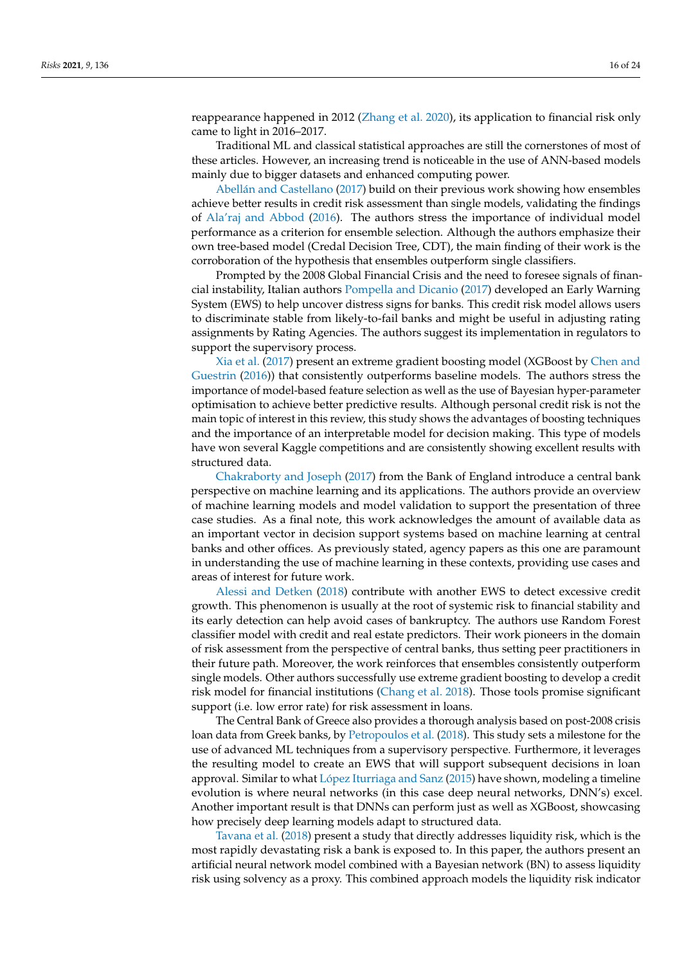reappearance happened in 2012 [\(Zhang et al.](#page-23-4) [2020\)](#page-23-4), its application to financial risk only came to light in 2016–2017.

Traditional ML and classical statistical approaches are still the cornerstones of most of these articles. However, an increasing trend is noticeable in the use of ANN-based models mainly due to bigger datasets and enhanced computing power.

[Abellán and Castellano](#page-21-6) [\(2017\)](#page-21-6) build on their previous work showing how ensembles achieve better results in credit risk assessment than single models, validating the findings of [Ala'raj and Abbod](#page-21-5) [\(2016\)](#page-21-5). The authors stress the importance of individual model performance as a criterion for ensemble selection. Although the authors emphasize their own tree-based model (Credal Decision Tree, CDT), the main finding of their work is the corroboration of the hypothesis that ensembles outperform single classifiers.

Prompted by the 2008 Global Financial Crisis and the need to foresee signals of financial instability, Italian authors [Pompella and Dicanio](#page-23-5) [\(2017\)](#page-23-5) developed an Early Warning System (EWS) to help uncover distress signs for banks. This credit risk model allows users to discriminate stable from likely-to-fail banks and might be useful in adjusting rating assignments by Rating Agencies. The authors suggest its implementation in regulators to support the supervisory process.

[Xia et al.](#page-23-6) [\(2017\)](#page-23-6) present an extreme gradient boosting model (XGBoost by [Chen and](#page-22-9) [Guestrin](#page-22-9) [\(2016\)](#page-22-9)) that consistently outperforms baseline models. The authors stress the importance of model-based feature selection as well as the use of Bayesian hyper-parameter optimisation to achieve better predictive results. Although personal credit risk is not the main topic of interest in this review, this study shows the advantages of boosting techniques and the importance of an interpretable model for decision making. This type of models have won several Kaggle competitions and are consistently showing excellent results with structured data.

[Chakraborty and Joseph](#page-21-7) [\(2017\)](#page-21-7) from the Bank of England introduce a central bank perspective on machine learning and its applications. The authors provide an overview of machine learning models and model validation to support the presentation of three case studies. As a final note, this work acknowledges the amount of available data as an important vector in decision support systems based on machine learning at central banks and other offices. As previously stated, agency papers as this one are paramount in understanding the use of machine learning in these contexts, providing use cases and areas of interest for future work.

[Alessi and Detken](#page-21-8) [\(2018\)](#page-21-8) contribute with another EWS to detect excessive credit growth. This phenomenon is usually at the root of systemic risk to financial stability and its early detection can help avoid cases of bankruptcy. The authors use Random Forest classifier model with credit and real estate predictors. Their work pioneers in the domain of risk assessment from the perspective of central banks, thus setting peer practitioners in their future path. Moreover, the work reinforces that ensembles consistently outperform single models. Other authors successfully use extreme gradient boosting to develop a credit risk model for financial institutions [\(Chang et al.](#page-22-10) [2018\)](#page-22-10). Those tools promise significant support (i.e. low error rate) for risk assessment in loans.

The Central Bank of Greece also provides a thorough analysis based on post-2008 crisis loan data from Greek banks, by [Petropoulos et al.](#page-23-7) [\(2018\)](#page-23-7). This study sets a milestone for the use of advanced ML techniques from a supervisory perspective. Furthermore, it leverages the resulting model to create an EWS that will support subsequent decisions in loan approval. Similar to what [López Iturriaga and Sanz](#page-22-8) [\(2015\)](#page-22-8) have shown, modeling a timeline evolution is where neural networks (in this case deep neural networks, DNN's) excel. Another important result is that DNNs can perform just as well as XGBoost, showcasing how precisely deep learning models adapt to structured data.

[Tavana et al.](#page-23-8) [\(2018\)](#page-23-8) present a study that directly addresses liquidity risk, which is the most rapidly devastating risk a bank is exposed to. In this paper, the authors present an artificial neural network model combined with a Bayesian network (BN) to assess liquidity risk using solvency as a proxy. This combined approach models the liquidity risk indicator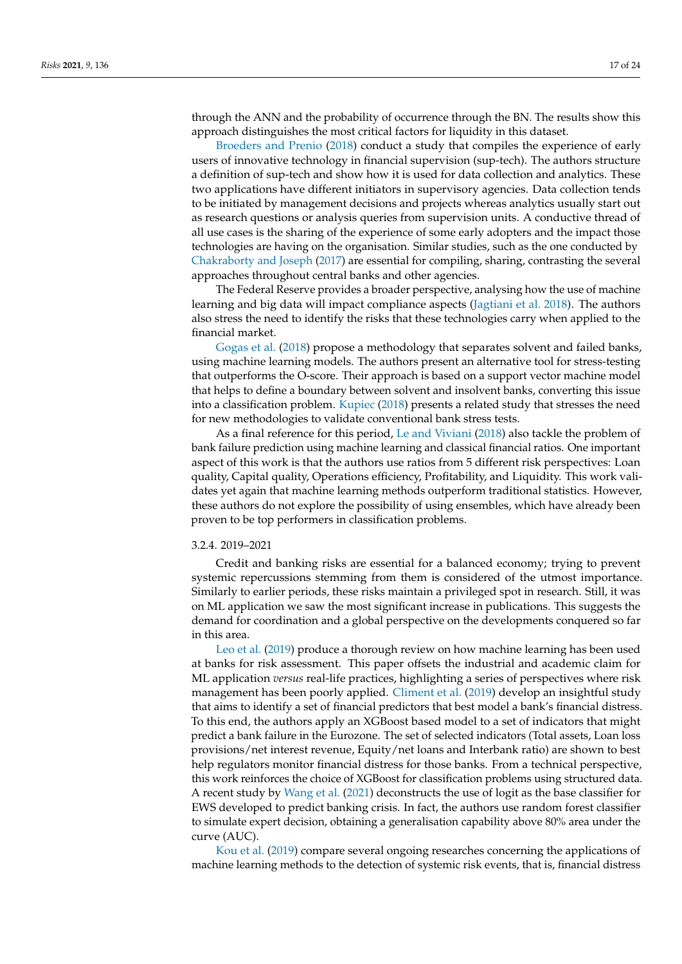through the ANN and the probability of occurrence through the BN. The results show this approach distinguishes the most critical factors for liquidity in this dataset.

[Broeders and Prenio](#page-21-1) [\(2018\)](#page-21-1) conduct a study that compiles the experience of early users of innovative technology in financial supervision (sup-tech). The authors structure a definition of sup-tech and show how it is used for data collection and analytics. These two applications have different initiators in supervisory agencies. Data collection tends to be initiated by management decisions and projects whereas analytics usually start out as research questions or analysis queries from supervision units. A conductive thread of all use cases is the sharing of the experience of some early adopters and the impact those technologies are having on the organisation. Similar studies, such as the one conducted by [Chakraborty and Joseph](#page-21-7) [\(2017\)](#page-21-7) are essential for compiling, sharing, contrasting the several approaches throughout central banks and other agencies.

The Federal Reserve provides a broader perspective, analysing how the use of machine learning and big data will impact compliance aspects [\(Jagtiani et al.](#page-22-11) [2018\)](#page-22-11). The authors also stress the need to identify the risks that these technologies carry when applied to the financial market.

[Gogas et al.](#page-22-12) [\(2018\)](#page-22-12) propose a methodology that separates solvent and failed banks, using machine learning models. The authors present an alternative tool for stress-testing that outperforms the O-score. Their approach is based on a support vector machine model that helps to define a boundary between solvent and insolvent banks, converting this issue into a classification problem. [Kupiec](#page-22-13) [\(2018\)](#page-22-13) presents a related study that stresses the need for new methodologies to validate conventional bank stress tests.

As a final reference for this period, [Le and Viviani](#page-22-14) [\(2018\)](#page-22-14) also tackle the problem of bank failure prediction using machine learning and classical financial ratios. One important aspect of this work is that the authors use ratios from 5 different risk perspectives: Loan quality, Capital quality, Operations efficiency, Profitability, and Liquidity. This work validates yet again that machine learning methods outperform traditional statistics. However, these authors do not explore the possibility of using ensembles, which have already been proven to be top performers in classification problems.

### 3.2.4. 2019–2021

Credit and banking risks are essential for a balanced economy; trying to prevent systemic repercussions stemming from them is considered of the utmost importance. Similarly to earlier periods, these risks maintain a privileged spot in research. Still, it was on ML application we saw the most significant increase in publications. This suggests the demand for coordination and a global perspective on the developments conquered so far in this area.

[Leo et al.](#page-22-15) [\(2019\)](#page-22-15) produce a thorough review on how machine learning has been used at banks for risk assessment. This paper offsets the industrial and academic claim for ML application *versus* real-life practices, highlighting a series of perspectives where risk management has been poorly applied. [Climent et al.](#page-22-16) [\(2019\)](#page-22-16) develop an insightful study that aims to identify a set of financial predictors that best model a bank's financial distress. To this end, the authors apply an XGBoost based model to a set of indicators that might predict a bank failure in the Eurozone. The set of selected indicators (Total assets, Loan loss provisions/net interest revenue, Equity/net loans and Interbank ratio) are shown to best help regulators monitor financial distress for those banks. From a technical perspective, this work reinforces the choice of XGBoost for classification problems using structured data. A recent study by [Wang et al.](#page-23-9) [\(2021\)](#page-23-9) deconstructs the use of logit as the base classifier for EWS developed to predict banking crisis. In fact, the authors use random forest classifier to simulate expert decision, obtaining a generalisation capability above 80% area under the curve (AUC).

[Kou et al.](#page-22-17) [\(2019\)](#page-22-17) compare several ongoing researches concerning the applications of machine learning methods to the detection of systemic risk events, that is, financial distress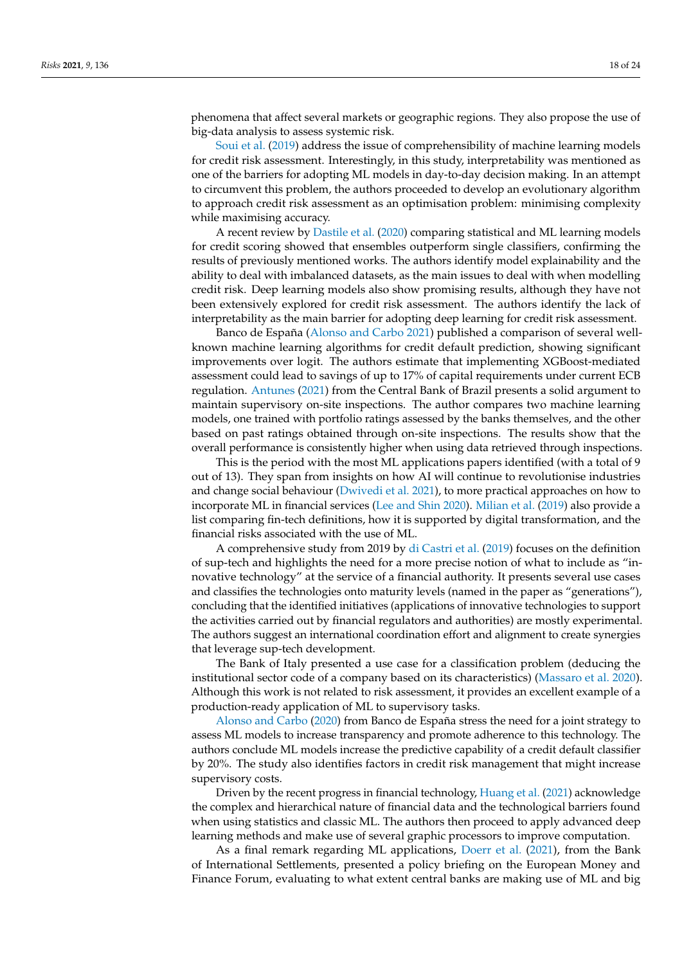phenomena that affect several markets or geographic regions. They also propose the use of big-data analysis to assess systemic risk.

[Soui et al.](#page-23-10) [\(2019\)](#page-23-10) address the issue of comprehensibility of machine learning models for credit risk assessment. Interestingly, in this study, interpretability was mentioned as one of the barriers for adopting ML models in day-to-day decision making. In an attempt to circumvent this problem, the authors proceeded to develop an evolutionary algorithm to approach credit risk assessment as an optimisation problem: minimising complexity while maximising accuracy.

A recent review by [Dastile et al.](#page-22-18) [\(2020\)](#page-22-18) comparing statistical and ML learning models for credit scoring showed that ensembles outperform single classifiers, confirming the results of previously mentioned works. The authors identify model explainability and the ability to deal with imbalanced datasets, as the main issues to deal with when modelling credit risk. Deep learning models also show promising results, although they have not been extensively explored for credit risk assessment. The authors identify the lack of interpretability as the main barrier for adopting deep learning for credit risk assessment.

Banco de España [\(Alonso and Carbo](#page-21-9) [2021\)](#page-21-9) published a comparison of several wellknown machine learning algorithms for credit default prediction, showing significant improvements over logit. The authors estimate that implementing XGBoost-mediated assessment could lead to savings of up to 17% of capital requirements under current ECB regulation. [Antunes](#page-21-10) [\(2021\)](#page-21-10) from the Central Bank of Brazil presents a solid argument to maintain supervisory on-site inspections. The author compares two machine learning models, one trained with portfolio ratings assessed by the banks themselves, and the other based on past ratings obtained through on-site inspections. The results show that the overall performance is consistently higher when using data retrieved through inspections.

This is the period with the most ML applications papers identified (with a total of 9 out of 13). They span from insights on how AI will continue to revolutionise industries and change social behaviour [\(Dwivedi et al.](#page-22-19) [2021\)](#page-22-19), to more practical approaches on how to incorporate ML in financial services [\(Lee and Shin](#page-22-20) [2020\)](#page-22-20). [Milian et al.](#page-22-0) [\(2019\)](#page-22-0) also provide a list comparing fin-tech definitions, how it is supported by digital transformation, and the financial risks associated with the use of ML.

A comprehensive study from 2019 by [di Castri et al.](#page-22-21) [\(2019\)](#page-22-21) focuses on the definition of sup-tech and highlights the need for a more precise notion of what to include as "innovative technology" at the service of a financial authority. It presents several use cases and classifies the technologies onto maturity levels (named in the paper as "generations"), concluding that the identified initiatives (applications of innovative technologies to support the activities carried out by financial regulators and authorities) are mostly experimental. The authors suggest an international coordination effort and alignment to create synergies that leverage sup-tech development.

The Bank of Italy presented a use case for a classification problem (deducing the institutional sector code of a company based on its characteristics) [\(Massaro et al.](#page-22-22) [2020\)](#page-22-22). Although this work is not related to risk assessment, it provides an excellent example of a production-ready application of ML to supervisory tasks.

[Alonso and Carbo](#page-21-11) [\(2020\)](#page-21-11) from Banco de España stress the need for a joint strategy to assess ML models to increase transparency and promote adherence to this technology. The authors conclude ML models increase the predictive capability of a credit default classifier by 20%. The study also identifies factors in credit risk management that might increase supervisory costs.

Driven by the recent progress in financial technology, [Huang et al.](#page-22-23) [\(2021\)](#page-22-23) acknowledge the complex and hierarchical nature of financial data and the technological barriers found when using statistics and classic ML. The authors then proceed to apply advanced deep learning methods and make use of several graphic processors to improve computation.

As a final remark regarding ML applications, [Doerr et al.](#page-22-24) [\(2021\)](#page-22-24), from the Bank of International Settlements, presented a policy briefing on the European Money and Finance Forum, evaluating to what extent central banks are making use of ML and big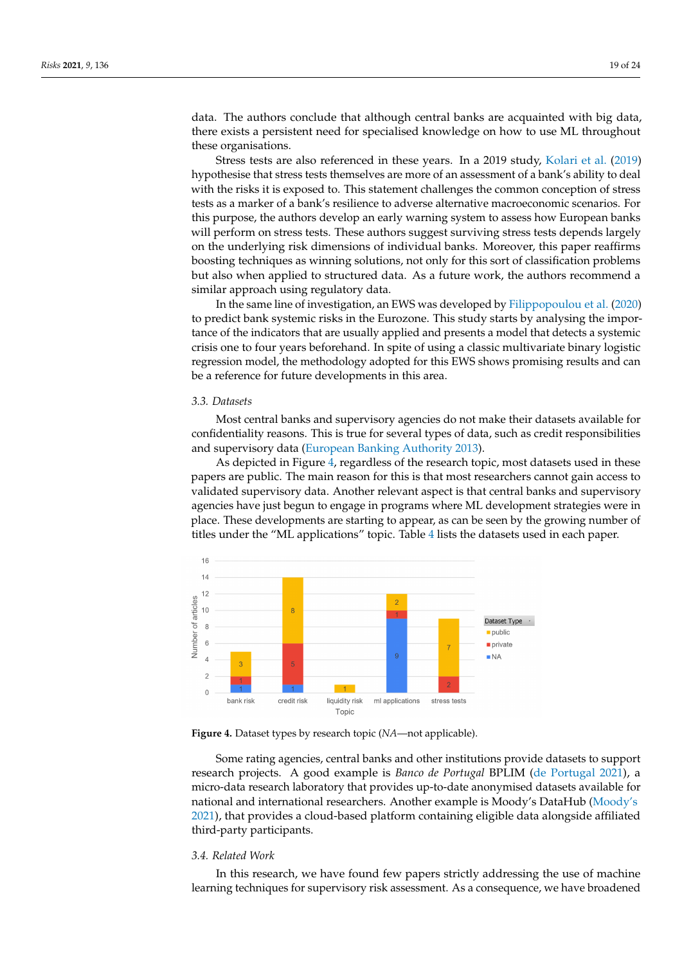data. The authors conclude that although central banks are acquainted with big data, there exists a persistent need for specialised knowledge on how to use ML throughout these organisations.

Stress tests are also referenced in these years. In a 2019 study, [Kolari et al.](#page-22-25) [\(2019\)](#page-22-25) hypothesise that stress tests themselves are more of an assessment of a bank's ability to deal with the risks it is exposed to. This statement challenges the common conception of stress tests as a marker of a bank's resilience to adverse alternative macroeconomic scenarios. For this purpose, the authors develop an early warning system to assess how European banks will perform on stress tests. These authors suggest surviving stress tests depends largely on the underlying risk dimensions of individual banks. Moreover, this paper reaffirms boosting techniques as winning solutions, not only for this sort of classification problems but also when applied to structured data. As a future work, the authors recommend a similar approach using regulatory data.

In the same line of investigation, an EWS was developed by [Filippopoulou et al.](#page-22-26) [\(2020\)](#page-22-26) to predict bank systemic risks in the Eurozone. This study starts by analysing the importance of the indicators that are usually applied and presents a model that detects a systemic crisis one to four years beforehand. In spite of using a classic multivariate binary logistic regression model, the methodology adopted for this EWS shows promising results and can be a reference for future developments in this area.

## *3.3. Datasets*

Most central banks and supervisory agencies do not make their datasets available for confidentiality reasons. This is true for several types of data, such as credit responsibilities and supervisory data [\(European Banking Authority](#page-22-1) [2013\)](#page-22-1).

As depicted in Figure [4,](#page-18-0) regardless of the research topic, most datasets used in these papers are public. The main reason for this is that most researchers cannot gain access to validated supervisory data. Another relevant aspect is that central banks and supervisory agencies have just begun to engage in programs where ML development strategies were in place. These developments are starting to appear, as can be seen by the growing number of titles under the "ML applications" topic. Table [4](#page-10-2) lists the datasets used in each paper.

<span id="page-18-0"></span>

**Figure 4.** Dataset types by research topic (*NA*—not applicable).

Some rating agencies, central banks and other institutions provide datasets to support research projects. A good example is *Banco de Portugal* BPLIM [\(de Portugal](#page-22-27) [2021\)](#page-22-27), a micro-data research laboratory that provides up-to-date anonymised datasets available for national and international researchers. Another example is Moody's DataHub [\(Moody's](#page-23-11) [2021\)](#page-23-11), that provides a cloud-based platform containing eligible data alongside affiliated third-party participants.

# *3.4. Related Work*

In this research, we have found few papers strictly addressing the use of machine learning techniques for supervisory risk assessment. As a consequence, we have broadened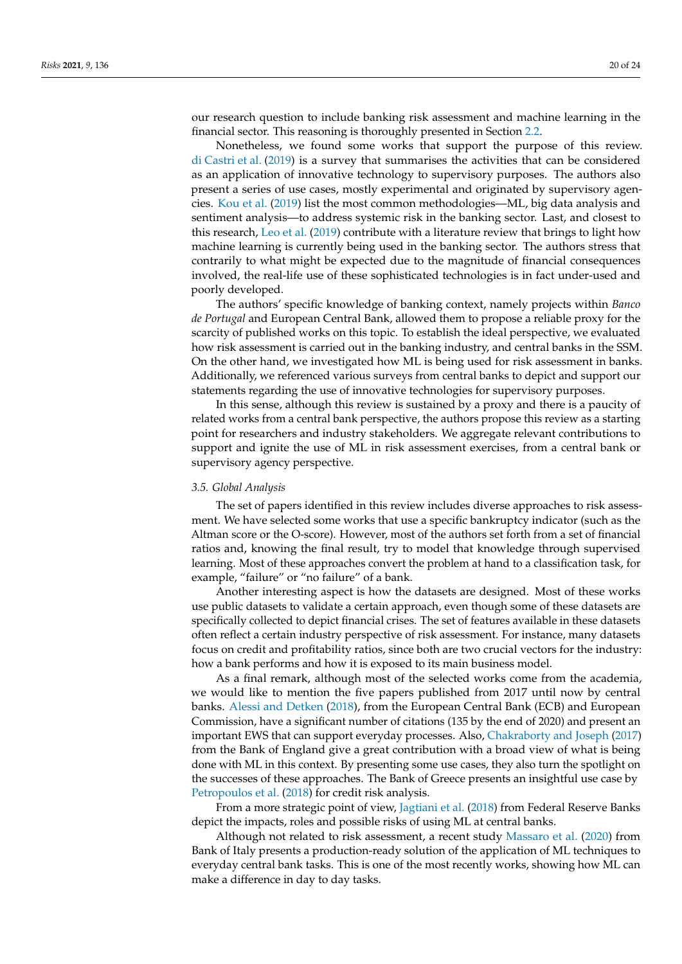our research question to include banking risk assessment and machine learning in the financial sector. This reasoning is thoroughly presented in Section [2.2.](#page-1-0)

Nonetheless, we found some works that support the purpose of this review. [di Castri et al.](#page-22-21) [\(2019\)](#page-22-21) is a survey that summarises the activities that can be considered as an application of innovative technology to supervisory purposes. The authors also present a series of use cases, mostly experimental and originated by supervisory agencies. [Kou et al.](#page-22-17) [\(2019\)](#page-22-17) list the most common methodologies—ML, big data analysis and sentiment analysis—to address systemic risk in the banking sector. Last, and closest to this research, [Leo et al.](#page-22-15) [\(2019\)](#page-22-15) contribute with a literature review that brings to light how machine learning is currently being used in the banking sector. The authors stress that contrarily to what might be expected due to the magnitude of financial consequences involved, the real-life use of these sophisticated technologies is in fact under-used and poorly developed.

The authors' specific knowledge of banking context, namely projects within *Banco de Portugal* and European Central Bank, allowed them to propose a reliable proxy for the scarcity of published works on this topic. To establish the ideal perspective, we evaluated how risk assessment is carried out in the banking industry, and central banks in the SSM. On the other hand, we investigated how ML is being used for risk assessment in banks. Additionally, we referenced various surveys from central banks to depict and support our statements regarding the use of innovative technologies for supervisory purposes.

In this sense, although this review is sustained by a proxy and there is a paucity of related works from a central bank perspective, the authors propose this review as a starting point for researchers and industry stakeholders. We aggregate relevant contributions to support and ignite the use of ML in risk assessment exercises, from a central bank or supervisory agency perspective.

#### *3.5. Global Analysis*

The set of papers identified in this review includes diverse approaches to risk assessment. We have selected some works that use a specific bankruptcy indicator (such as the Altman score or the O-score). However, most of the authors set forth from a set of financial ratios and, knowing the final result, try to model that knowledge through supervised learning. Most of these approaches convert the problem at hand to a classification task, for example, "failure" or "no failure" of a bank.

Another interesting aspect is how the datasets are designed. Most of these works use public datasets to validate a certain approach, even though some of these datasets are specifically collected to depict financial crises. The set of features available in these datasets often reflect a certain industry perspective of risk assessment. For instance, many datasets focus on credit and profitability ratios, since both are two crucial vectors for the industry: how a bank performs and how it is exposed to its main business model.

As a final remark, although most of the selected works come from the academia, we would like to mention the five papers published from 2017 until now by central banks. [Alessi and Detken](#page-21-8) [\(2018\)](#page-21-8), from the European Central Bank (ECB) and European Commission, have a significant number of citations (135 by the end of 2020) and present an important EWS that can support everyday processes. Also, [Chakraborty and Joseph](#page-21-7) [\(2017\)](#page-21-7) from the Bank of England give a great contribution with a broad view of what is being done with ML in this context. By presenting some use cases, they also turn the spotlight on the successes of these approaches. The Bank of Greece presents an insightful use case by [Petropoulos et al.](#page-23-7) [\(2018\)](#page-23-7) for credit risk analysis.

From a more strategic point of view, [Jagtiani et al.](#page-22-11) [\(2018\)](#page-22-11) from Federal Reserve Banks depict the impacts, roles and possible risks of using ML at central banks.

Although not related to risk assessment, a recent study [Massaro et al.](#page-22-22) [\(2020\)](#page-22-22) from Bank of Italy presents a production-ready solution of the application of ML techniques to everyday central bank tasks. This is one of the most recently works, showing how ML can make a difference in day to day tasks.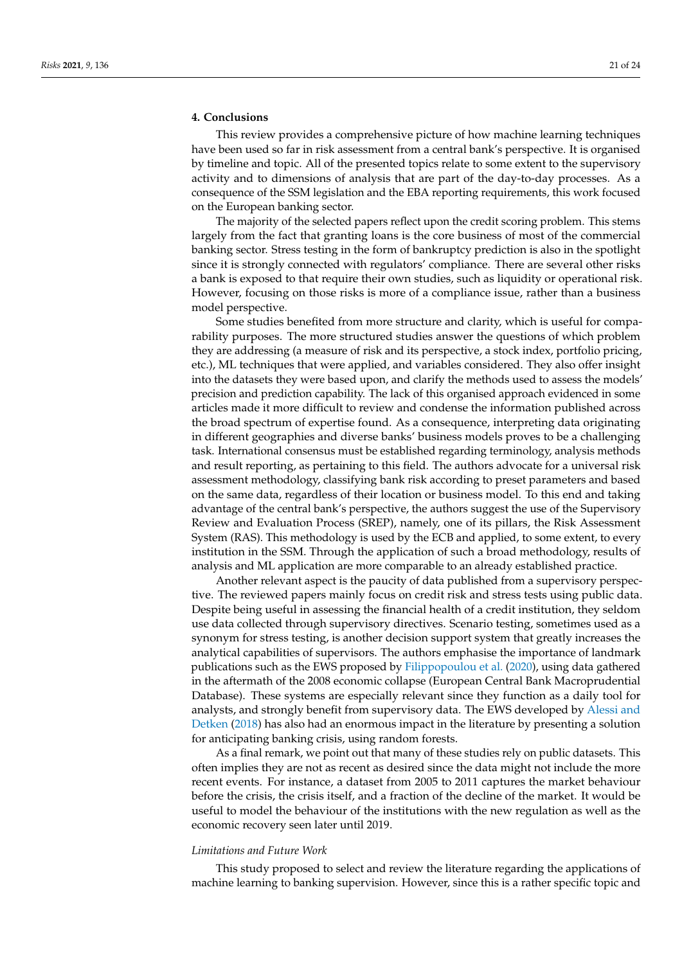# **4. Conclusions**

This review provides a comprehensive picture of how machine learning techniques have been used so far in risk assessment from a central bank's perspective. It is organised by timeline and topic. All of the presented topics relate to some extent to the supervisory activity and to dimensions of analysis that are part of the day-to-day processes. As a consequence of the SSM legislation and the EBA reporting requirements, this work focused on the European banking sector.

The majority of the selected papers reflect upon the credit scoring problem. This stems largely from the fact that granting loans is the core business of most of the commercial banking sector. Stress testing in the form of bankruptcy prediction is also in the spotlight since it is strongly connected with regulators' compliance. There are several other risks a bank is exposed to that require their own studies, such as liquidity or operational risk. However, focusing on those risks is more of a compliance issue, rather than a business model perspective.

Some studies benefited from more structure and clarity, which is useful for comparability purposes. The more structured studies answer the questions of which problem they are addressing (a measure of risk and its perspective, a stock index, portfolio pricing, etc.), ML techniques that were applied, and variables considered. They also offer insight into the datasets they were based upon, and clarify the methods used to assess the models' precision and prediction capability. The lack of this organised approach evidenced in some articles made it more difficult to review and condense the information published across the broad spectrum of expertise found. As a consequence, interpreting data originating in different geographies and diverse banks' business models proves to be a challenging task. International consensus must be established regarding terminology, analysis methods and result reporting, as pertaining to this field. The authors advocate for a universal risk assessment methodology, classifying bank risk according to preset parameters and based on the same data, regardless of their location or business model. To this end and taking advantage of the central bank's perspective, the authors suggest the use of the Supervisory Review and Evaluation Process (SREP), namely, one of its pillars, the Risk Assessment System (RAS). This methodology is used by the ECB and applied, to some extent, to every institution in the SSM. Through the application of such a broad methodology, results of analysis and ML application are more comparable to an already established practice.

Another relevant aspect is the paucity of data published from a supervisory perspective. The reviewed papers mainly focus on credit risk and stress tests using public data. Despite being useful in assessing the financial health of a credit institution, they seldom use data collected through supervisory directives. Scenario testing, sometimes used as a synonym for stress testing, is another decision support system that greatly increases the analytical capabilities of supervisors. The authors emphasise the importance of landmark publications such as the EWS proposed by [Filippopoulou et al.](#page-22-26) [\(2020\)](#page-22-26), using data gathered in the aftermath of the 2008 economic collapse (European Central Bank Macroprudential Database). These systems are especially relevant since they function as a daily tool for analysts, and strongly benefit from supervisory data. The EWS developed by [Alessi and](#page-21-8) [Detken](#page-21-8) [\(2018\)](#page-21-8) has also had an enormous impact in the literature by presenting a solution for anticipating banking crisis, using random forests.

As a final remark, we point out that many of these studies rely on public datasets. This often implies they are not as recent as desired since the data might not include the more recent events. For instance, a dataset from 2005 to 2011 captures the market behaviour before the crisis, the crisis itself, and a fraction of the decline of the market. It would be useful to model the behaviour of the institutions with the new regulation as well as the economic recovery seen later until 2019.

#### *Limitations and Future Work*

This study proposed to select and review the literature regarding the applications of machine learning to banking supervision. However, since this is a rather specific topic and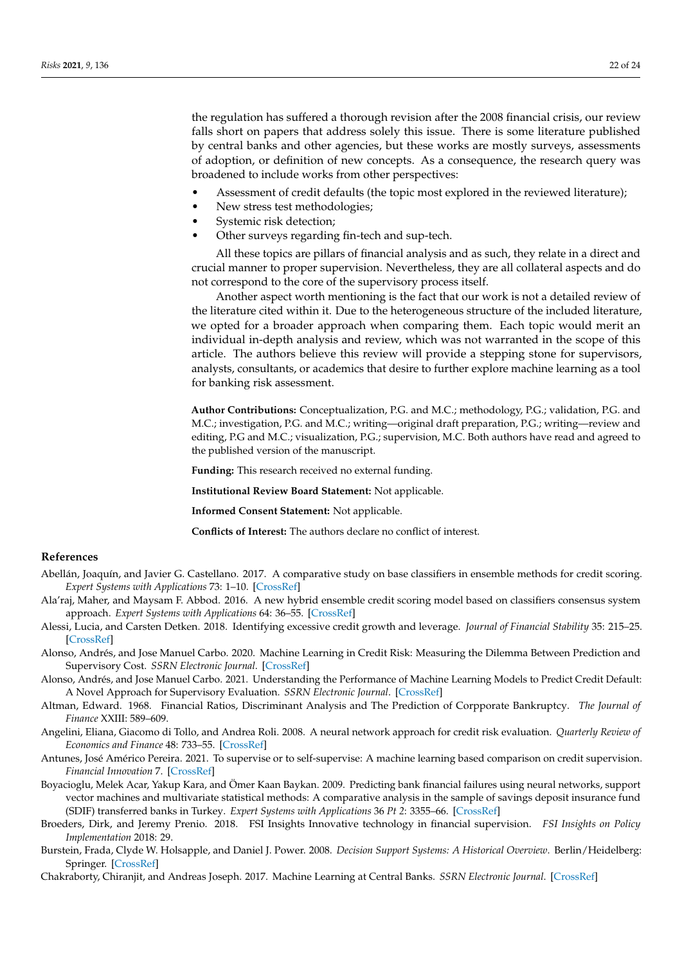the regulation has suffered a thorough revision after the 2008 financial crisis, our review falls short on papers that address solely this issue. There is some literature published by central banks and other agencies, but these works are mostly surveys, assessments of adoption, or definition of new concepts. As a consequence, the research query was broadened to include works from other perspectives:

- Assessment of credit defaults (the topic most explored in the reviewed literature);
- New stress test methodologies;
- Systemic risk detection;
- Other surveys regarding fin-tech and sup-tech.

All these topics are pillars of financial analysis and as such, they relate in a direct and crucial manner to proper supervision. Nevertheless, they are all collateral aspects and do not correspond to the core of the supervisory process itself.

Another aspect worth mentioning is the fact that our work is not a detailed review of the literature cited within it. Due to the heterogeneous structure of the included literature, we opted for a broader approach when comparing them. Each topic would merit an individual in-depth analysis and review, which was not warranted in the scope of this article. The authors believe this review will provide a stepping stone for supervisors, analysts, consultants, or academics that desire to further explore machine learning as a tool for banking risk assessment.

**Author Contributions:** Conceptualization, P.G. and M.C.; methodology, P.G.; validation, P.G. and M.C.; investigation, P.G. and M.C.; writing—original draft preparation, P.G.; writing—review and editing, P.G and M.C.; visualization, P.G.; supervision, M.C. Both authors have read and agreed to the published version of the manuscript.

**Funding:** This research received no external funding.

**Institutional Review Board Statement:** Not applicable.

**Informed Consent Statement:** Not applicable.

**Conflicts of Interest:** The authors declare no conflict of interest.

# **References**

- <span id="page-21-6"></span>Abellán, Joaquín, and Javier G. Castellano. 2017. A comparative study on base classifiers in ensemble methods for credit scoring. *Expert Systems with Applications* 73: 1–10. [\[CrossRef\]](http://doi.org/10.1016/j.eswa.2016.12.020)
- <span id="page-21-5"></span>Ala'raj, Maher, and Maysam F. Abbod. 2016. A new hybrid ensemble credit scoring model based on classifiers consensus system approach. *Expert Systems with Applications* 64: 36–55. [\[CrossRef\]](http://dx.doi.org/10.1016/j.eswa.2016.07.017)
- <span id="page-21-8"></span>Alessi, Lucia, and Carsten Detken. 2018. Identifying excessive credit growth and leverage. *Journal of Financial Stability* 35: 215–25. [\[CrossRef\]](http://dx.doi.org/10.1016/j.jfs.2017.06.005)
- <span id="page-21-11"></span>Alonso, Andrés, and Jose Manuel Carbo. 2020. Machine Learning in Credit Risk: Measuring the Dilemma Between Prediction and Supervisory Cost. *SSRN Electronic Journal*. [\[CrossRef\]](http://dx.doi.org/10.2139/ssrn.3724374)
- <span id="page-21-9"></span>Alonso, Andrés, and Jose Manuel Carbo. 2021. Understanding the Performance of Machine Learning Models to Predict Credit Default: A Novel Approach for Supervisory Evaluation. *SSRN Electronic Journal*. [\[CrossRef\]](http://dx.doi.org/10.2139/ssrn.3774075)
- <span id="page-21-2"></span>Altman, Edward. 1968. Financial Ratios, Discriminant Analysis and The Prediction of Corpporate Bankruptcy. *The Journal of Finance* XXIII: 589–609.
- <span id="page-21-3"></span>Angelini, Eliana, Giacomo di Tollo, and Andrea Roli. 2008. A neural network approach for credit risk evaluation. *Quarterly Review of Economics and Finance* 48: 733–55. [\[CrossRef\]](http://dx.doi.org/10.1016/j.qref.2007.04.001)
- <span id="page-21-10"></span>Antunes, José Américo Pereira. 2021. To supervise or to self-supervise: A machine learning based comparison on credit supervision. *Financial Innovation* 7. [\[CrossRef\]](http://dx.doi.org/10.1186/s40854-021-00242-4)
- <span id="page-21-4"></span>Boyacioglu, Melek Acar, Yakup Kara, and Ömer Kaan Baykan. 2009. Predicting bank financial failures using neural networks, support vector machines and multivariate statistical methods: A comparative analysis in the sample of savings deposit insurance fund (SDIF) transferred banks in Turkey. *Expert Systems with Applications* 36 *Pt 2*: 3355–66. [\[CrossRef\]](http://dx.doi.org/10.1016/j.eswa.2008.01.003)
- <span id="page-21-1"></span>Broeders, Dirk, and Jeremy Prenio. 2018. FSI Insights Innovative technology in financial supervision. *FSI Insights on Policy Implementation* 2018: 29.
- <span id="page-21-0"></span>Burstein, Frada, Clyde W. Holsapple, and Daniel J. Power. 2008. *Decision Support Systems: A Historical Overview*. Berlin/Heidelberg: Springer. [\[CrossRef\]](http://dx.doi.org/10.1007/978-3-540-48713-5_7)
- <span id="page-21-7"></span>Chakraborty, Chiranjit, and Andreas Joseph. 2017. Machine Learning at Central Banks. *SSRN Electronic Journal*. [\[CrossRef\]](http://dx.doi.org/10.2139/ssrn.3031796)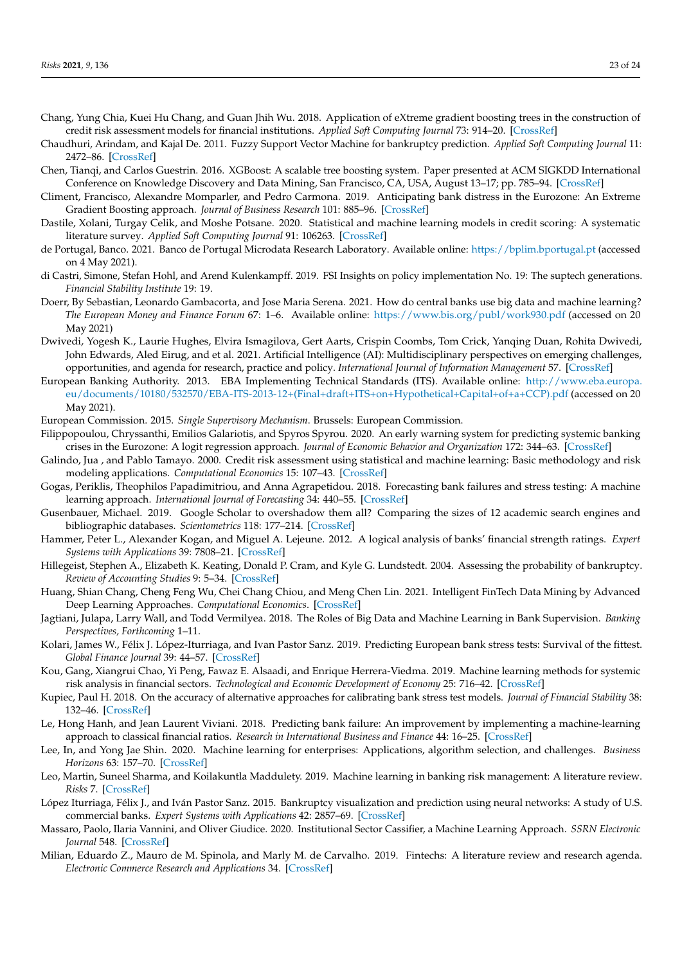- <span id="page-22-10"></span>Chang, Yung Chia, Kuei Hu Chang, and Guan Jhih Wu. 2018. Application of eXtreme gradient boosting trees in the construction of credit risk assessment models for financial institutions. *Applied Soft Computing Journal* 73: 914–20. [\[CrossRef\]](http://dx.doi.org/10.1016/j.asoc.2018.09.029)
- <span id="page-22-6"></span>Chaudhuri, Arindam, and Kajal De. 2011. Fuzzy Support Vector Machine for bankruptcy prediction. *Applied Soft Computing Journal* 11: 2472–86. [\[CrossRef\]](http://dx.doi.org/10.1016/j.asoc.2010.10.003)
- <span id="page-22-9"></span>Chen, Tianqi, and Carlos Guestrin. 2016. XGBoost: A scalable tree boosting system. Paper presented at ACM SIGKDD International Conference on Knowledge Discovery and Data Mining, San Francisco, CA, USA, August 13–17; pp. 785–94. [\[CrossRef\]](http://dx.doi.org/10.1145/2939672.2939785)
- <span id="page-22-16"></span>Climent, Francisco, Alexandre Momparler, and Pedro Carmona. 2019. Anticipating bank distress in the Eurozone: An Extreme Gradient Boosting approach. *Journal of Business Research* 101: 885–96. [\[CrossRef\]](http://dx.doi.org/10.1016/j.jbusres.2018.11.015)
- <span id="page-22-18"></span>Dastile, Xolani, Turgay Celik, and Moshe Potsane. 2020. Statistical and machine learning models in credit scoring: A systematic literature survey. *Applied Soft Computing Journal* 91: 106263. [\[CrossRef\]](http://dx.doi.org/10.1016/j.asoc.2020.106263)
- <span id="page-22-27"></span>de Portugal, Banco. 2021. Banco de Portugal Microdata Research Laboratory. Available online: <https://bplim.bportugal.pt> (accessed on 4 May 2021).
- <span id="page-22-21"></span>di Castri, Simone, Stefan Hohl, and Arend Kulenkampff. 2019. FSI Insights on policy implementation No. 19: The suptech generations. *Financial Stability Institute* 19: 19.
- <span id="page-22-24"></span>Doerr, By Sebastian, Leonardo Gambacorta, and Jose Maria Serena. 2021. How do central banks use big data and machine learning? *The European Money and Finance Forum* 67: 1–6. Available online: <https://www.bis.org/publ/work930.pdf> (accessed on 20 May 2021)
- <span id="page-22-19"></span>Dwivedi, Yogesh K., Laurie Hughes, Elvira Ismagilova, Gert Aarts, Crispin Coombs, Tom Crick, Yanqing Duan, Rohita Dwivedi, John Edwards, Aled Eirug, and et al. 2021. Artificial Intelligence (AI): Multidisciplinary perspectives on emerging challenges, opportunities, and agenda for research, practice and policy. *International Journal of Information Management* 57. [\[CrossRef\]](http://dx.doi.org/10.1016/j.ijinfomgt.2019.08.002)
- <span id="page-22-1"></span>European Banking Authority. 2013. EBA Implementing Technical Standards (ITS). Available online: [http://www.eba.europa.](http://www.eba.europa.eu/documents/10180/532570/EBA-ITS-2013-12+(Final+draft+ITS+on+Hypothetical+Capital+of+a+CCP).pdf) [eu/documents/10180/532570/EBA-ITS-2013-12+\(Final+draft+ITS+on+Hypothetical+Capital+of+a+CCP\).pdf](http://www.eba.europa.eu/documents/10180/532570/EBA-ITS-2013-12+(Final+draft+ITS+on+Hypothetical+Capital+of+a+CCP).pdf) (accessed on 20 May 2021).
- <span id="page-22-2"></span>European Commission. 2015. *Single Supervisory Mechanism*. Brussels: European Commission.
- <span id="page-22-26"></span>Filippopoulou, Chryssanthi, Emilios Galariotis, and Spyros Spyrou. 2020. An early warning system for predicting systemic banking crises in the Eurozone: A logit regression approach. *Journal of Economic Behavior and Organization* 172: 344–63. [\[CrossRef\]](http://dx.doi.org/10.1016/j.jebo.2019.12.023)
- <span id="page-22-4"></span>Galindo, Jua , and Pablo Tamayo. 2000. Credit risk assessment using statistical and machine learning: Basic methodology and risk modeling applications. *Computational Economics* 15: 107–43. [\[CrossRef\]](http://dx.doi.org/10.1023/A:1008699112516)
- <span id="page-22-12"></span>Gogas, Periklis, Theophilos Papadimitriou, and Anna Agrapetidou. 2018. Forecasting bank failures and stress testing: A machine learning approach. *International Journal of Forecasting* 34: 440–55. [\[CrossRef\]](http://dx.doi.org/10.1016/j.ijforecast.2018.01.009)
- <span id="page-22-3"></span>Gusenbauer, Michael. 2019. Google Scholar to overshadow them all? Comparing the sizes of 12 academic search engines and bibliographic databases. *Scientometrics* 118: 177–214. [\[CrossRef\]](http://dx.doi.org/10.1007/s11192-018-2958-5)
- <span id="page-22-7"></span>Hammer, Peter L., Alexander Kogan, and Miguel A. Lejeune. 2012. A logical analysis of banks' financial strength ratings. *Expert Systems with Applications* 39: 7808–21. [\[CrossRef\]](http://dx.doi.org/10.1016/j.eswa.2012.01.087)
- <span id="page-22-5"></span>Hillegeist, Stephen A., Elizabeth K. Keating, Donald P. Cram, and Kyle G. Lundstedt. 2004. Assessing the probability of bankruptcy. *Review of Accounting Studies* 9: 5–34. [\[CrossRef\]](http://dx.doi.org/10.1023/B:RAST.0000013627.90884.b7)
- <span id="page-22-23"></span>Huang, Shian Chang, Cheng Feng Wu, Chei Chang Chiou, and Meng Chen Lin. 2021. Intelligent FinTech Data Mining by Advanced Deep Learning Approaches. *Computational Economics*. [\[CrossRef\]](http://dx.doi.org/10.1007/s10614-021-10118-5)
- <span id="page-22-11"></span>Jagtiani, Julapa, Larry Wall, and Todd Vermilyea. 2018. The Roles of Big Data and Machine Learning in Bank Supervision. *Banking Perspectives, Forthcoming* 1–11.
- <span id="page-22-25"></span>Kolari, James W., Félix J. López-Iturriaga, and Ivan Pastor Sanz. 2019. Predicting European bank stress tests: Survival of the fittest. *Global Finance Journal* 39: 44–57. [\[CrossRef\]](http://dx.doi.org/10.1016/j.gfj.2018.01.015)
- <span id="page-22-17"></span>Kou, Gang, Xiangrui Chao, Yi Peng, Fawaz E. Alsaadi, and Enrique Herrera-Viedma. 2019. Machine learning methods for systemic risk analysis in financial sectors. *Technological and Economic Development of Economy* 25: 716–42. [\[CrossRef\]](http://dx.doi.org/10.3846/tede.2019.8740)
- <span id="page-22-13"></span>Kupiec, Paul H. 2018. On the accuracy of alternative approaches for calibrating bank stress test models. *Journal of Financial Stability* 38: 132–46. [\[CrossRef\]](http://dx.doi.org/10.1016/j.jfs.2018.08.001)
- <span id="page-22-14"></span>Le, Hong Hanh, and Jean Laurent Viviani. 2018. Predicting bank failure: An improvement by implementing a machine-learning approach to classical financial ratios. *Research in International Business and Finance* 44: 16–25. [\[CrossRef\]](http://dx.doi.org/10.1016/j.ribaf.2017.07.104)
- <span id="page-22-20"></span>Lee, In, and Yong Jae Shin. 2020. Machine learning for enterprises: Applications, algorithm selection, and challenges. *Business Horizons* 63: 157–70. [\[CrossRef\]](http://dx.doi.org/10.1016/j.bushor.2019.10.005)
- <span id="page-22-15"></span>Leo, Martin, Suneel Sharma, and Koilakuntla Maddulety. 2019. Machine learning in banking risk management: A literature review. *Risks* 7. [\[CrossRef\]](http://dx.doi.org/10.3390/risks7010029)
- <span id="page-22-8"></span>López Iturriaga, Félix J., and Iván Pastor Sanz. 2015. Bankruptcy visualization and prediction using neural networks: A study of U.S. commercial banks. *Expert Systems with Applications* 42: 2857–69. [\[CrossRef\]](http://dx.doi.org/10.1016/j.eswa.2014.11.025)
- <span id="page-22-22"></span>Massaro, Paolo, Ilaria Vannini, and Oliver Giudice. 2020. Institutional Sector Cassifier, a Machine Learning Approach. *SSRN Electronic Journal* 548. [\[CrossRef\]](http://dx.doi.org/10.2139/ssrn.3612710)
- <span id="page-22-0"></span>Milian, Eduardo Z., Mauro de M. Spinola, and Marly M. de Carvalho. 2019. Fintechs: A literature review and research agenda. *Electronic Commerce Research and Applications* 34. [\[CrossRef\]](http://dx.doi.org/10.1016/j.elerap.2019.100833)